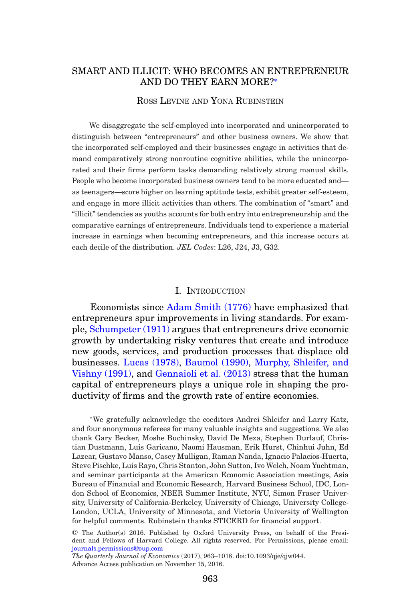# SMART AND ILLICIT: WHO BECOMES AN ENTREPRENEUR AND DO THEY EARN MORE?[∗](#page-0-0)

#### ROSS LEVINE AND YONA RUBINSTEIN

We disaggregate the self-employed into incorporated and unincorporated to distinguish between "entrepreneurs" and other business owners. We show that the incorporated self-employed and their businesses engage in activities that demand comparatively strong nonroutine cognitive abilities, while the unincorporated and their firms perform tasks demanding relatively strong manual skills. People who become incorporated business owners tend to be more educated and as teenagers—score higher on learning aptitude tests, exhibit greater self-esteem, and engage in more illicit activities than others. The combination of "smart" and "illicit" tendencies as youths accounts for both entry into entrepreneurship and the comparative earnings of entrepreneurs. Individuals tend to experience a material increase in earnings when becoming entrepreneurs, and this increase occurs at each decile of the distribution. *JEL Codes*: L26, J24, J3, G32.

#### I. INTRODUCTION

Economists since [Adam Smith \(1776\)](#page-55-0) have emphasized that entrepreneurs spur improvements in living standards. For example, [Schumpeter \(1911\)](#page-55-1) argues that entrepreneurs drive economic growth by undertaking risky ventures that create and introduce new goods, services, and production processes that displace old businesses. [Lucas \(1978\),](#page-54-0) [Baumol \(1990\),](#page-53-0) [Murphy, Shleifer, and](#page-54-1) [Vishny \(1991\),](#page-54-1) and [Gennaioli et al. \(2013\)](#page-53-1) stress that the human capital of entrepreneurs plays a unique role in shaping the productivity of firms and the growth rate of entire economies.

<span id="page-0-0"></span>∗We gratefully acknowledge the coeditors Andrei Shleifer and Larry Katz, and four anonymous referees for many valuable insights and suggestions. We also thank Gary Becker, Moshe Buchinsky, David De Meza, Stephen Durlauf, Christian Dustmann, Luis Garicano, Naomi Hausman, Erik Hurst, Chinhui Juhn, Ed Lazear, Gustavo Manso, Casey Mulligan, Raman Nanda, Ignacio Palacios-Huerta, Steve Pischke, Luis Rayo, Chris Stanton, John Sutton, Ivo Welch, Noam Yuchtman, and seminar participants at the American Economic Association meetings, Asia Bureau of Financial and Economic Research, Harvard Business School, IDC, London School of Economics, NBER Summer Institute, NYU, Simon Fraser University, University of California-Berkeley, University of Chicago, University College-London, UCLA, University of Minnesota, and Victoria University of Wellington for helpful comments. Rubinstein thanks STICERD for financial support.

*The Quarterly Journal of Economics* (2017), 963–1018. doi:10.1093/qje/qjw044. Advance Access publication on November 15, 2016.

<sup>C</sup> The Author(s) 2016. Published by Oxford University Press, on behalf of the President and Fellows of Harvard College. All rights reserved. For Permissions, please email: [journals.permissions@oup.com](mailto:journals.permissions@oup.com)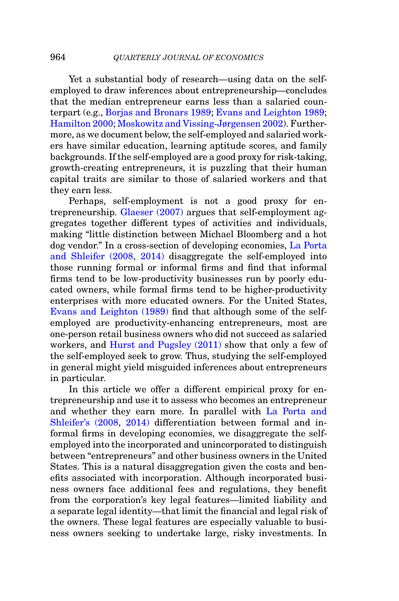Yet a substantial body of research—using data on the selfemployed to draw inferences about entrepreneurship—concludes that the median entrepreneur earns less than a salaried counterpart (e.g., [Borjas and Bronars 1989;](#page-53-2) [Evans and Leighton 1989;](#page-53-3) [Hamilton 2000;](#page-53-4) [Moskowitz and Vissing-Jørgensen 2002\)](#page-54-2). Furthermore, as we document below, the self-employed and salaried workers have similar education, learning aptitude scores, and family backgrounds. If the self-employed are a good proxy for risk-taking, growth-creating entrepreneurs, it is puzzling that their human capital traits are similar to those of salaried workers and that they earn less.

Perhaps, self-employment is not a good proxy for entrepreneurship. [Glaeser \(2007\)](#page-53-5) argues that self-employment aggregates together different types of activities and individuals, making "little distinction between Michael Bloomberg and a hot dog vendor." In a cross-section of developing economies, [La Porta](#page-54-3) [and Shleifer \(2008,](#page-54-3) [2014\)](#page-54-4) disaggregate the self-employed into those running formal or informal firms and find that informal firms tend to be low-productivity businesses run by poorly educated owners, while formal firms tend to be higher-productivity enterprises with more educated owners. For the United States, [Evans and Leighton \(1989\)](#page-53-3) find that although some of the selfemployed are productivity-enhancing entrepreneurs, most are one-person retail business owners who did not succeed as salaried workers, and [Hurst and Pugsley \(2011\)](#page-54-5) show that only a few of the self-employed seek to grow. Thus, studying the self-employed in general might yield misguided inferences about entrepreneurs in particular.

In this article we offer a different empirical proxy for entrepreneurship and use it to assess who becomes an entrepreneur and whether they earn more. In parallel with [La Porta and](#page-54-3) [Shleifer's \(2008,](#page-54-3) [2014\)](#page-54-4) differentiation between formal and informal firms in developing economies, we disaggregate the selfemployed into the incorporated and unincorporated to distinguish between "entrepreneurs" and other business owners in the United States. This is a natural disaggregation given the costs and benefits associated with incorporation. Although incorporated business owners face additional fees and regulations, they benefit from the corporation's key legal features—limited liability and a separate legal identity—that limit the financial and legal risk of the owners. These legal features are especially valuable to business owners seeking to undertake large, risky investments. In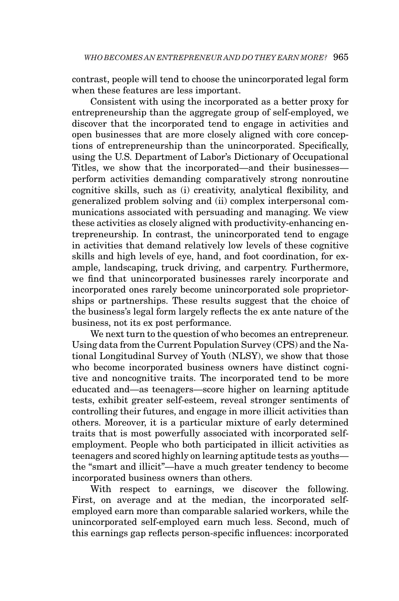contrast, people will tend to choose the unincorporated legal form when these features are less important.

Consistent with using the incorporated as a better proxy for entrepreneurship than the aggregate group of self-employed, we discover that the incorporated tend to engage in activities and open businesses that are more closely aligned with core conceptions of entrepreneurship than the unincorporated. Specifically, using the U.S. Department of Labor's Dictionary of Occupational Titles, we show that the incorporated—and their businesses perform activities demanding comparatively strong nonroutine cognitive skills, such as (i) creativity, analytical flexibility, and generalized problem solving and (ii) complex interpersonal communications associated with persuading and managing. We view these activities as closely aligned with productivity-enhancing entrepreneurship. In contrast, the unincorporated tend to engage in activities that demand relatively low levels of these cognitive skills and high levels of eye, hand, and foot coordination, for example, landscaping, truck driving, and carpentry. Furthermore, we find that unincorporated businesses rarely incorporate and incorporated ones rarely become unincorporated sole proprietorships or partnerships. These results suggest that the choice of the business's legal form largely reflects the ex ante nature of the business, not its ex post performance.

We next turn to the question of who becomes an entrepreneur. Using data from the Current Population Survey (CPS) and the National Longitudinal Survey of Youth (NLSY), we show that those who become incorporated business owners have distinct cognitive and noncognitive traits. The incorporated tend to be more educated and—as teenagers—score higher on learning aptitude tests, exhibit greater self-esteem, reveal stronger sentiments of controlling their futures, and engage in more illicit activities than others. Moreover, it is a particular mixture of early determined traits that is most powerfully associated with incorporated selfemployment. People who both participated in illicit activities as teenagers and scored highly on learning aptitude tests as youths the "smart and illicit"—have a much greater tendency to become incorporated business owners than others.

With respect to earnings, we discover the following. First, on average and at the median, the incorporated selfemployed earn more than comparable salaried workers, while the unincorporated self-employed earn much less. Second, much of this earnings gap reflects person-specific influences: incorporated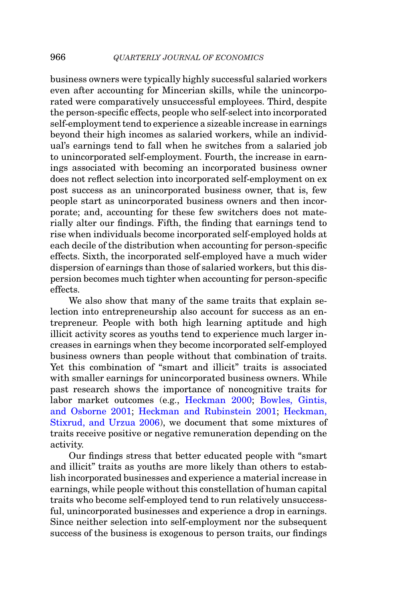business owners were typically highly successful salaried workers even after accounting for Mincerian skills, while the unincorporated were comparatively unsuccessful employees. Third, despite the person-specific effects, people who self-select into incorporated self-employment tend to experience a sizeable increase in earnings beyond their high incomes as salaried workers, while an individual's earnings tend to fall when he switches from a salaried job to unincorporated self-employment. Fourth, the increase in earnings associated with becoming an incorporated business owner does not reflect selection into incorporated self-employment on ex post success as an unincorporated business owner, that is, few people start as unincorporated business owners and then incorporate; and, accounting for these few switchers does not materially alter our findings. Fifth, the finding that earnings tend to rise when individuals become incorporated self-employed holds at each decile of the distribution when accounting for person-specific effects. Sixth, the incorporated self-employed have a much wider dispersion of earnings than those of salaried workers, but this dispersion becomes much tighter when accounting for person-specific effects.

We also show that many of the same traits that explain selection into entrepreneurship also account for success as an entrepreneur. People with both high learning aptitude and high illicit activity scores as youths tend to experience much larger increases in earnings when they become incorporated self-employed business owners than people without that combination of traits. Yet this combination of "smart and illicit" traits is associated with smaller earnings for unincorporated business owners. While past research shows the importance of noncognitive traits for labor market outcomes (e.g., [Heckman 2000;](#page-54-6) [Bowles, Gintis,](#page-53-6) [and Osborne 2001;](#page-53-6) [Heckman and Rubinstein 2001;](#page-54-7) [Heckman,](#page-54-8) [Stixrud, and Urzua 2006\)](#page-54-8), we document that some mixtures of traits receive positive or negative remuneration depending on the activity.

Our findings stress that better educated people with "smart and illicit" traits as youths are more likely than others to establish incorporated businesses and experience a material increase in earnings, while people without this constellation of human capital traits who become self-employed tend to run relatively unsuccessful, unincorporated businesses and experience a drop in earnings. Since neither selection into self-employment nor the subsequent success of the business is exogenous to person traits, our findings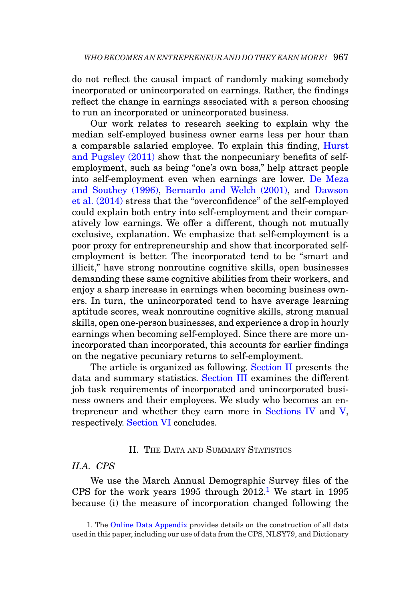do not reflect the causal impact of randomly making somebody incorporated or unincorporated on earnings. Rather, the findings reflect the change in earnings associated with a person choosing to run an incorporated or unincorporated business.

Our work relates to research seeking to explain why the median self-employed business owner earns less per hour than a comparable salaried employee. To explain this finding, [Hurst](#page-54-5) [and Pugsley \(2011\)](#page-54-5) show that the nonpecuniary benefits of selfemployment, such as being "one's own boss," help attract people into self-employment even when earnings are lower. [De Meza](#page-53-7) [and Southey \(1996\),](#page-53-7) [Bernardo and Welch \(2001\),](#page-53-8) and [Dawson](#page-53-9) [et al. \(2014\)](#page-53-9) stress that the "overconfidence" of the self-employed could explain both entry into self-employment and their comparatively low earnings. We offer a different, though not mutually exclusive, explanation. We emphasize that self-employment is a poor proxy for entrepreneurship and show that incorporated selfemployment is better. The incorporated tend to be "smart and illicit," have strong nonroutine cognitive skills, open businesses demanding these same cognitive abilities from their workers, and enjoy a sharp increase in earnings when becoming business owners. In turn, the unincorporated tend to have average learning aptitude scores, weak nonroutine cognitive skills, strong manual skills, open one-person businesses, and experience a drop in hourly earnings when becoming self-employed. Since there are more unincorporated than incorporated, this accounts for earlier findings on the negative pecuniary returns to self-employment.

The article is organized as following. [Section II](#page-4-0) presents the data and summary statistics. [Section III](#page-18-0) examines the different job task requirements of incorporated and unincorporated business owners and their employees. We study who becomes an entrepreneur and whether they earn more in [Sections IV](#page-21-0) and [V,](#page-30-0) respectively. [Section VI](#page-52-0) concludes.

### <span id="page-4-0"></span>II. THE DATA AND SUMMARY STATISTICS

## *II.A. CPS*

We use the March Annual Demographic Survey files of the CPS for the work years 1995 through  $2012<sup>1</sup>$  We start in 1995 because (i) the measure of incorporation changed following the

<span id="page-4-1"></span><sup>1.</sup> The [Online Data Appendix](https://academic.oup.com/qje) provides details on the construction of all data used in this paper, including our use of data from the CPS, NLSY79, and Dictionary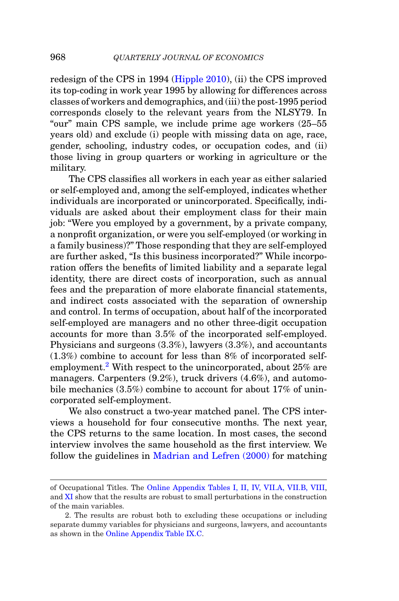redesign of the CPS in 1994 [\(Hipple 2010\)](#page-54-9), (ii) the CPS improved its top-coding in work year 1995 by allowing for differences across classes of workers and demographics, and (iii) the post-1995 period corresponds closely to the relevant years from the NLSY79. In "our" main CPS sample, we include prime age workers (25–55 years old) and exclude (i) people with missing data on age, race, gender, schooling, industry codes, or occupation codes, and (ii) those living in group quarters or working in agriculture or the military.

The CPS classifies all workers in each year as either salaried or self-employed and, among the self-employed, indicates whether individuals are incorporated or unincorporated. Specifically, individuals are asked about their employment class for their main job: "Were you employed by a government, by a private company, a nonprofit organization, or were you self-employed (or working in a family business)?" Those responding that they are self-employed are further asked, "Is this business incorporated?" While incorporation offers the benefits of limited liability and a separate legal identity, there are direct costs of incorporation, such as annual fees and the preparation of more elaborate financial statements, and indirect costs associated with the separation of ownership and control. In terms of occupation, about half of the incorporated self-employed are managers and no other three-digit occupation accounts for more than 3.5% of the incorporated self-employed. Physicians and surgeons (3.3%), lawyers (3.3%), and accountants (1.3%) combine to account for less than 8% of incorporated selfemployment[.2](#page-5-0) With respect to the unincorporated, about 25% are managers. Carpenters (9.2%), truck drivers (4.6%), and automobile mechanics (3.5%) combine to account for about 17% of unincorporated self-employment.

We also construct a two-year matched panel. The CPS interviews a household for four consecutive months. The next year, the CPS returns to the same location. In most cases, the second interview involves the same household as the first interview. We follow the guidelines in [Madrian and Lefren \(2000\)](#page-54-10) for matching

of Occupational Titles. The [Online Appendix Tables I, II, IV, VII.A, VII.B, VIII,](https://academic.oup.com/qje) and [XI](https://academic.oup.com/qje) show that the results are robust to small perturbations in the construction of the main variables.

<span id="page-5-0"></span><sup>2.</sup> The results are robust both to excluding these occupations or including separate dummy variables for physicians and surgeons, lawyers, and accountants as shown in the [Online Appendix Table IX.C.](https://academic.oup.com/qje)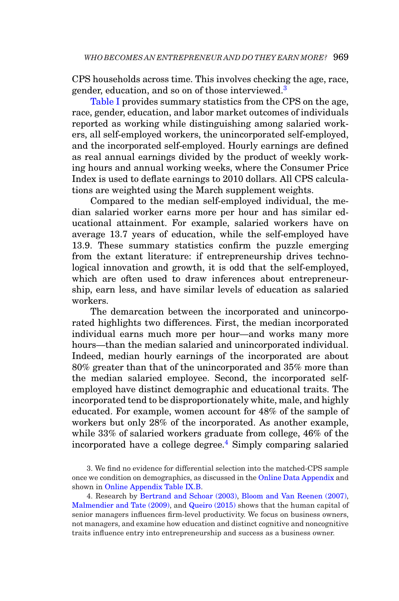CPS households across time. This involves checking the age, race, gender, education, and so on of those interviewed.<sup>3</sup>

[Table I](#page-7-0) provides summary statistics from the CPS on the age, race, gender, education, and labor market outcomes of individuals reported as working while distinguishing among salaried workers, all self-employed workers, the unincorporated self-employed, and the incorporated self-employed. Hourly earnings are defined as real annual earnings divided by the product of weekly working hours and annual working weeks, where the Consumer Price Index is used to deflate earnings to 2010 dollars. All CPS calculations are weighted using the March supplement weights.

Compared to the median self-employed individual, the median salaried worker earns more per hour and has similar educational attainment. For example, salaried workers have on average 13.7 years of education, while the self-employed have 13.9. These summary statistics confirm the puzzle emerging from the extant literature: if entrepreneurship drives technological innovation and growth, it is odd that the self-employed, which are often used to draw inferences about entrepreneurship, earn less, and have similar levels of education as salaried workers.

The demarcation between the incorporated and unincorporated highlights two differences. First, the median incorporated individual earns much more per hour—and works many more hours—than the median salaried and unincorporated individual. Indeed, median hourly earnings of the incorporated are about 80% greater than that of the unincorporated and 35% more than the median salaried employee. Second, the incorporated selfemployed have distinct demographic and educational traits. The incorporated tend to be disproportionately white, male, and highly educated. For example, women account for 48% of the sample of workers but only 28% of the incorporated. As another example, while 33% of salaried workers graduate from college, 46% of the incorporated have a college degree.<sup>[4](#page-6-1)</sup> Simply comparing salaried

<span id="page-6-1"></span>4. Research by [Bertrand and Schoar \(2003\),](#page-53-10) [Bloom and Van Reenen \(2007\),](#page-53-11) [Malmendier and Tate \(2009\),](#page-54-11) and [Queiro \(2015\)](#page-55-2) shows that the human capital of senior managers influences firm-level productivity. We focus on business owners, not managers, and examine how education and distinct cognitive and noncognitive traits influence entry into entrepreneurship and success as a business owner.

<span id="page-6-0"></span><sup>3.</sup> We find no evidence for differential selection into the matched-CPS sample once we condition on demographics, as discussed in the [Online Data Appendix](https://academic.oup.com/qje) and shown in [Online Appendix Table IX.B.](https://academic.oup.com/qje)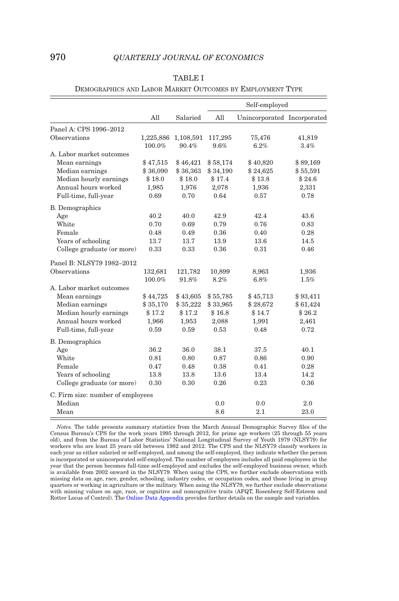<span id="page-7-0"></span>

|                                   |          |                              |                 | Self-employed               |                |
|-----------------------------------|----------|------------------------------|-----------------|-----------------------------|----------------|
|                                   | All      | Salaried                     | All             | Unincorporated Incorporated |                |
| Panel A: CPS 1996-2012            |          |                              |                 |                             |                |
| Observations                      | 100.0%   | 1,225,886 1,108,591<br>90.4% | 117,295<br>9.6% | 75,476<br>6.2%              | 41,819<br>3.4% |
| A. Labor market outcomes          |          |                              |                 |                             |                |
| Mean earnings                     | \$47,515 | \$46,421                     | \$58,174        | \$40,820                    | \$89,169       |
| Median earnings                   | \$36,090 | \$36,363                     | \$34,190        | \$24,625                    | \$55,591       |
| Median hourly earnings            | \$18.0   | \$18.0                       | \$17.4          | \$13.8                      | \$24.6         |
| Annual hours worked               | 1,985    | 1,976                        | 2,078           | 1,936                       | 2,331          |
| Full-time, full-year              | 0.69     | 0.70                         | 0.64            | 0.57                        | 0.78           |
| <b>B.</b> Demographics            |          |                              |                 |                             |                |
| Age                               | 40.2     | 40.0                         | 42.9            | 42.4                        | 43.6           |
| White                             | 0.70     | 0.69                         | 0.79            | 0.76                        | 0.83           |
| Female                            | 0.48     | 0.49                         | 0.36            | 0.40                        | 0.28           |
| Years of schooling                | 13.7     | 13.7                         | 13.9            | 13.6                        | 14.5           |
| College graduate (or more)        | 0.33     | 0.33                         | 0.36            | 0.31                        | 0.46           |
| Panel B: NLSY79 1982-2012         |          |                              |                 |                             |                |
| Observations                      | 132,681  | 121,782                      | 10,899          | 8,963                       | 1,936          |
|                                   | 100.0%   | 91.8%                        | 8.2%            | 6.8%                        | 1.5%           |
| A. Labor market outcomes          |          |                              |                 |                             |                |
| Mean earnings                     | \$44,725 | \$43,605                     | \$55,785        | \$45,713                    | \$93,411       |
| Median earnings                   | \$35,170 | \$35,222                     | \$33,965        | \$28,672                    | \$61,424       |
| Median hourly earnings            | \$17.2   | \$17.2                       | \$16.8          | \$14.7                      | \$26.2         |
| Annual hours worked               | 1,966    | 1,953                        | 2,088           | 1,991                       | 2,461          |
| Full-time, full-year              | 0.59     | 0.59                         | 0.53            | 0.48                        | 0.72           |
| <b>B.</b> Demographics            |          |                              |                 |                             |                |
| Age                               | 36.2     | 36.0                         | 38.1            | 37.5                        | 40.1           |
| White                             | 0.81     | 0.80                         | 0.87            | 0.86                        | 0.90           |
| Female                            | 0.47     | 0.48                         | 0.38            | 0.41                        | 0.28           |
| Years of schooling                | 13.8     | 13.8                         | 13.6            | 13.4                        | 14.2           |
| College graduate (or more)        | 0.30     | 0.30                         | 0.26            | 0.23                        | 0.36           |
| C. Firm size: number of employees |          |                              |                 |                             |                |
| Median                            |          |                              | 0.0             | 0.0                         | 2.0            |
| Mean                              |          |                              | 8.6             | 2.1                         | 23.0           |

### TABLE I

DEMOGRAPHICS AND LABOR MARKET OUTCOMES BY EMPLOYMENT TYPE

*Notes.* The table presents summary statistics from the March Annual Demographic Survey files of the Census Bureau's CPS for the work years 1995 through 2012, for prime age workers (25 through 55 years old), and from the Bureau of Labor Statistics' National Longitudinal Survey of Youth 1979 (NLSY79) for workers who are least 25 years old between 1982 and 2012. The CPS and the NLSY79 classify workers in each year as either salaried or self-employed, and among the self-employed, they indicate whether the person is incorporated or unincorporated self-employed. The number of employees includes all paid employees in the year that the person becomes full-time self-employed and excludes the self-employed business owner, which is available from 2002 onward in the NLSY79. When using the CPS, we further exclude observations with missing data on age, race, gender, schooling, industry codes, or occupation codes, and those living in group quarters or working in agriculture or the military. When using the NLSY79, we further exclude observations with missing values on age, race, or cognitive and noncognitive traits (AFQT, Rosenberg Self-Esteem and<br>Rotter Locus of Control). The [Online Data Appendix](https://academic.oup.com/qje) provides further details on the sample and variables.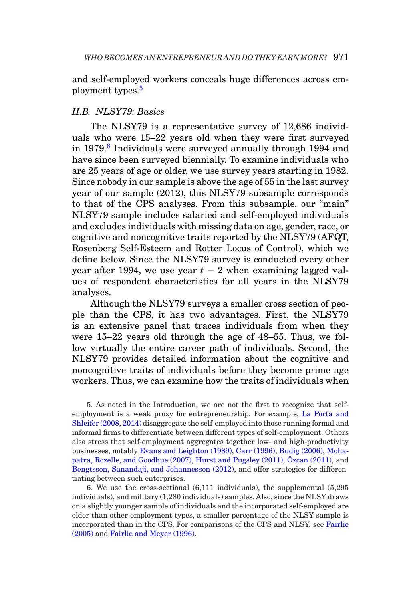and self-employed workers conceals huge differences across em-ployment types.<sup>[5](#page-8-0)</sup>

## *II.B. NLSY79: Basics*

The NLSY79 is a representative survey of 12,686 individuals who were 15–22 years old when they were first surveyed in 1979.<sup>6</sup> Individuals were surveyed annually through 1994 and have since been surveyed biennially. To examine individuals who are 25 years of age or older, we use survey years starting in 1982. Since nobody in our sample is above the age of 55 in the last survey year of our sample (2012), this NLSY79 subsample corresponds to that of the CPS analyses. From this subsample, our "main" NLSY79 sample includes salaried and self-employed individuals and excludes individuals with missing data on age, gender, race, or cognitive and noncognitive traits reported by the NLSY79 (AFQT, Rosenberg Self-Esteem and Rotter Locus of Control), which we define below. Since the NLSY79 survey is conducted every other year after 1994, we use year  $t - 2$  when examining lagged values of respondent characteristics for all years in the NLSY79 analyses.

Although the NLSY79 surveys a smaller cross section of people than the CPS, it has two advantages. First, the NLSY79 is an extensive panel that traces individuals from when they were 15–22 years old through the age of 48–55. Thus, we follow virtually the entire career path of individuals. Second, the NLSY79 provides detailed information about the cognitive and noncognitive traits of individuals before they become prime age workers. Thus, we can examine how the traits of individuals when

<span id="page-8-0"></span>5. As noted in the Introduction, we are not the first to recognize that selfemployment is a weak proxy for entrepreneurship. For example, [La Porta and](#page-54-3) [Shleifer \(2008,](#page-54-3) [2014\)](#page-54-4) disaggregate the self-employed into those running formal and informal firms to differentiate between different types of self-employment. Others also stress that self-employment aggregates together low- and high-productivity businesses, notably [Evans and Leighton \(1989\),](#page-53-3) [Carr \(1996\),](#page-53-12) [Budig \(2006\),](#page-53-13) [Moha](#page-54-12)[patra, Rozelle, and Goodhue \(2007\),](#page-54-12) [Hurst and Pugsley \(2011\),](#page-54-5) Özcan (2011), and [Bengtsson, Sanandaji, and Johannesson \(2012\),](#page-53-14) and offer strategies for differentiating between such enterprises.

<span id="page-8-1"></span>6. We use the cross-sectional (6,111 individuals), the supplemental (5,295 individuals), and military (1,280 individuals) samples. Also, since the NLSY draws on a slightly younger sample of individuals and the incorporated self-employed are older than other employment types, a smaller percentage of the NLSY sample is incorporated than in the CPS. For comparisons of the CPS and NLSY, see [Fairlie](#page-53-15) [\(2005\)](#page-53-15) and [Fairlie and Meyer \(1996\).](#page-53-16)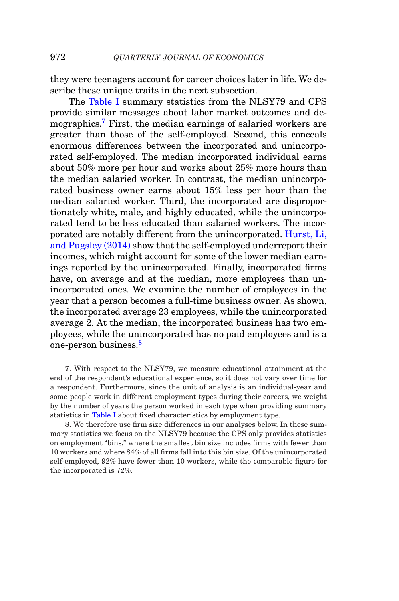they were teenagers account for career choices later in life. We describe these unique traits in the next subsection.

The [Table I](#page-7-0) summary statistics from the NLSY79 and CPS provide similar messages about labor market outcomes and de-mographics.<sup>[7](#page-9-0)</sup> First, the median earnings of salaried workers are greater than those of the self-employed. Second, this conceals enormous differences between the incorporated and unincorporated self-employed. The median incorporated individual earns about 50% more per hour and works about 25% more hours than the median salaried worker. In contrast, the median unincorporated business owner earns about 15% less per hour than the median salaried worker. Third, the incorporated are disproportionately white, male, and highly educated, while the unincorporated tend to be less educated than salaried workers. The incorporated are notably different from the unincorporated. [Hurst, Li,](#page-54-14) [and Pugsley \(2014\)](#page-54-14) show that the self-employed underreport their incomes, which might account for some of the lower median earnings reported by the unincorporated. Finally, incorporated firms have, on average and at the median, more employees than unincorporated ones. We examine the number of employees in the year that a person becomes a full-time business owner. As shown, the incorporated average 23 employees, while the unincorporated average 2. At the median, the incorporated business has two employees, while the unincorporated has no paid employees and is a one-person business[.8](#page-9-1)

<span id="page-9-0"></span>7. With respect to the NLSY79, we measure educational attainment at the end of the respondent's educational experience, so it does not vary over time for a respondent. Furthermore, since the unit of analysis is an individual-year and some people work in different employment types during their careers, we weight by the number of years the person worked in each type when providing summary statistics in [Table I](#page-7-0) about fixed characteristics by employment type.

<span id="page-9-1"></span>8. We therefore use firm size differences in our analyses below. In these summary statistics we focus on the NLSY79 because the CPS only provides statistics on employment "bins," where the smallest bin size includes firms with fewer than 10 workers and where 84% of all firms fall into this bin size. Of the unincorporated self-employed, 92% have fewer than 10 workers, while the comparable figure for the incorporated is 72%.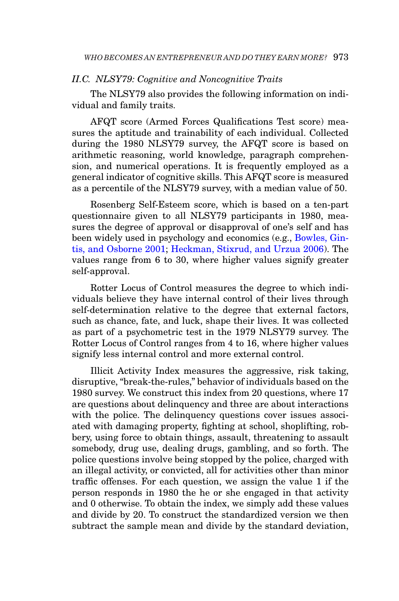## *II.C. NLSY79: Cognitive and Noncognitive Traits*

The NLSY79 also provides the following information on individual and family traits.

AFQT score (Armed Forces Qualifications Test score) measures the aptitude and trainability of each individual. Collected during the 1980 NLSY79 survey, the AFQT score is based on arithmetic reasoning, world knowledge, paragraph comprehension, and numerical operations. It is frequently employed as a general indicator of cognitive skills. This AFQT score is measured as a percentile of the NLSY79 survey, with a median value of 50.

Rosenberg Self-Esteem score, which is based on a ten-part questionnaire given to all NLSY79 participants in 1980, measures the degree of approval or disapproval of one's self and has been widely used in psychology and economics (e.g., [Bowles, Gin](#page-53-6)[tis, and Osborne 2001;](#page-53-6) [Heckman, Stixrud, and Urzua 2006\)](#page-54-8). The values range from 6 to 30, where higher values signify greater self-approval.

Rotter Locus of Control measures the degree to which individuals believe they have internal control of their lives through self-determination relative to the degree that external factors, such as chance, fate, and luck, shape their lives. It was collected as part of a psychometric test in the 1979 NLSY79 survey. The Rotter Locus of Control ranges from 4 to 16, where higher values signify less internal control and more external control.

Illicit Activity Index measures the aggressive, risk taking, disruptive, "break-the-rules," behavior of individuals based on the 1980 survey. We construct this index from 20 questions, where 17 are questions about delinquency and three are about interactions with the police. The delinquency questions cover issues associated with damaging property, fighting at school, shoplifting, robbery, using force to obtain things, assault, threatening to assault somebody, drug use, dealing drugs, gambling, and so forth. The police questions involve being stopped by the police, charged with an illegal activity, or convicted, all for activities other than minor traffic offenses. For each question, we assign the value 1 if the person responds in 1980 the he or she engaged in that activity and 0 otherwise. To obtain the index, we simply add these values and divide by 20. To construct the standardized version we then subtract the sample mean and divide by the standard deviation,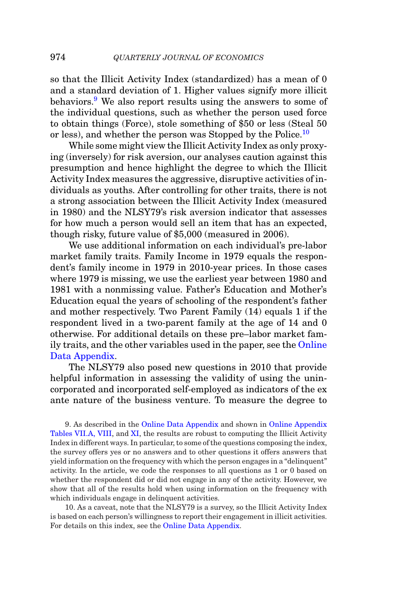so that the Illicit Activity Index (standardized) has a mean of 0 and a standard deviation of 1. Higher values signify more illicit behaviors.[9](#page-11-0) We also report results using the answers to some of the individual questions, such as whether the person used force to obtain things (Force), stole something of \$50 or less (Steal 50 or less), and whether the person was Stopped by the Police.<sup>[10](#page-11-1)</sup>

While some might view the Illicit Activity Index as only proxying (inversely) for risk aversion, our analyses caution against this presumption and hence highlight the degree to which the Illicit Activity Index measures the aggressive, disruptive activities of individuals as youths. After controlling for other traits, there is not a strong association between the Illicit Activity Index (measured in 1980) and the NLSY79's risk aversion indicator that assesses for how much a person would sell an item that has an expected, though risky, future value of \$5,000 (measured in 2006).

We use additional information on each individual's pre-labor market family traits. Family Income in 1979 equals the respondent's family income in 1979 in 2010-year prices. In those cases where 1979 is missing, we use the earliest year between 1980 and 1981 with a nonmissing value. Father's Education and Mother's Education equal the years of schooling of the respondent's father and mother respectively. Two Parent Family (14) equals 1 if the respondent lived in a two-parent family at the age of 14 and 0 otherwise. For additional details on these pre–labor market family traits, and the other variables used in the paper, see the [Online](https://academic.oup.com/qje) [Data Appendix.](https://academic.oup.com/qje)

The NLSY79 also posed new questions in 2010 that provide helpful information in assessing the validity of using the unincorporated and incorporated self-employed as indicators of the ex ante nature of the business venture. To measure the degree to

<span id="page-11-0"></span>9. As described in the [Online Data Appendix](https://academic.oup.com/qje) and shown in [Online Appendix](https://academic.oup.com/qje) [Tables VII.A, VIII,](https://academic.oup.com/qje) and [XI,](https://academic.oup.com/qje) the results are robust to computing the Illicit Activity Index in different ways. In particular, to some of the questions composing the index, the survey offers yes or no answers and to other questions it offers answers that yield information on the frequency with which the person engages in a "delinquent" activity. In the article, we code the responses to all questions as 1 or 0 based on whether the respondent did or did not engage in any of the activity. However, we show that all of the results hold when using information on the frequency with which individuals engage in delinquent activities.

<span id="page-11-1"></span>10. As a caveat, note that the NLSY79 is a survey, so the Illicit Activity Index is based on each person's willingness to report their engagement in illicit activities. For details on this index, see the [Online Data Appendix.](https://academic.oup.com/qje)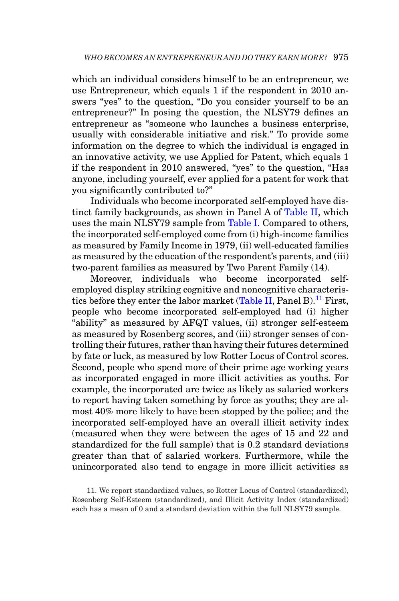which an individual considers himself to be an entrepreneur, we use Entrepreneur, which equals 1 if the respondent in 2010 answers "yes" to the question, "Do you consider yourself to be an entrepreneur?" In posing the question, the NLSY79 defines an entrepreneur as "someone who launches a business enterprise, usually with considerable initiative and risk." To provide some information on the degree to which the individual is engaged in an innovative activity, we use Applied for Patent, which equals 1 if the respondent in 2010 answered, "yes" to the question, "Has anyone, including yourself, ever applied for a patent for work that you significantly contributed to?"

Individuals who become incorporated self-employed have distinct family backgrounds, as shown in Panel A of [Table II,](#page-13-0) which uses the main NLSY79 sample from [Table I.](#page-7-0) Compared to others, the incorporated self-employed come from (i) high-income families as measured by Family Income in 1979, (ii) well-educated families as measured by the education of the respondent's parents, and (iii) two-parent families as measured by Two Parent Family (14).

Moreover, individuals who become incorporated selfemployed display striking cognitive and noncognitive characteris-tics before they enter the labor market [\(Table II,](#page-13-0) Panel B).<sup>11</sup> First, people who become incorporated self-employed had (i) higher "ability" as measured by AFQT values, (ii) stronger self-esteem as measured by Rosenberg scores, and (iii) stronger senses of controlling their futures, rather than having their futures determined by fate or luck, as measured by low Rotter Locus of Control scores. Second, people who spend more of their prime age working years as incorporated engaged in more illicit activities as youths. For example, the incorporated are twice as likely as salaried workers to report having taken something by force as youths; they are almost 40% more likely to have been stopped by the police; and the incorporated self-employed have an overall illicit activity index (measured when they were between the ages of 15 and 22 and standardized for the full sample) that is 0.2 standard deviations greater than that of salaried workers. Furthermore, while the unincorporated also tend to engage in more illicit activities as

<span id="page-12-0"></span><sup>11.</sup> We report standardized values, so Rotter Locus of Control (standardized), Rosenberg Self-Esteem (standardized), and Illicit Activity Index (standardized) each has a mean of 0 and a standard deviation within the full NLSY79 sample.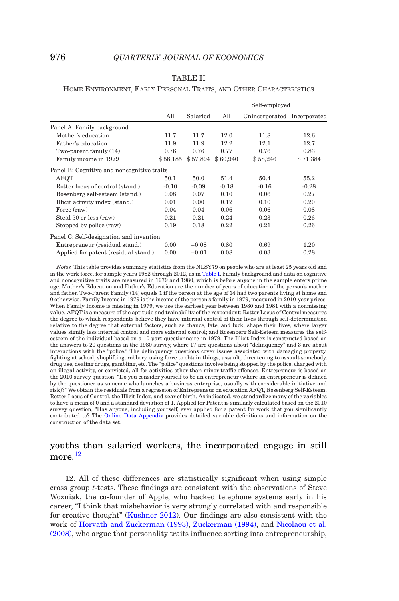|                                            |          |          |          | Self-employed               |          |
|--------------------------------------------|----------|----------|----------|-----------------------------|----------|
|                                            | All      | Salaried | All      | Unincorporated Incorporated |          |
| Panel A: Family background                 |          |          |          |                             |          |
| Mother's education                         | 11.7     | 11.7     | 12.0     | 11.8                        | 12.6     |
| Father's education                         | 11.9     | 11.9     | 12.2     | 12.1                        | 12.7     |
| Two-parent family $(14)$                   | 0.76     | 0.76     | 0.77     | 0.76                        | 0.83     |
| Family income in 1979                      | \$58,185 | \$57,894 | \$60,940 | \$58,246                    | \$71,384 |
| Panel B: Cognitive and noncognitive traits |          |          |          |                             |          |
| AFQT                                       | 50.1     | 50.0     | 51.4     | 50.4                        | 55.2     |
| Rotter locus of control (stand.)           | $-0.10$  | $-0.09$  | $-0.18$  | $-0.16$                     | $-0.28$  |
| Rosenberg self-esteem (stand.)             | 0.08     | 0.07     | 0.10     | 0.06                        | 0.27     |
| Illicit activity index (stand.)            | 0.01     | 0.00     | 0.12     | 0.10                        | 0.20     |
| Force (raw)                                | 0.04     | 0.04     | 0.06     | 0.06                        | 0.08     |
| Steal 50 or less (raw)                     | 0.21     | 0.21     | 0.24     | 0.23                        | 0.26     |
| Stopped by police (raw)                    | 0.19     | 0.18     | 0.22     | 0.21                        | 0.26     |
| Panel C: Self-designation and invention    |          |          |          |                             |          |
| Entrepreneur (residual stand.)             | 0.00     | $-0.08$  | 0.80     | 0.69                        | 1.20     |
| Applied for patent (residual stand.)       | 0.00     | $-0.01$  | 0.08     | 0.03                        | 0.28     |

#### TABLE II

#### <span id="page-13-0"></span>HOME ENVIRONMENT, EARLY PERSONAL TRAITS, AND OTHER CHARACTERISTICS

*Notes.* This table provides summary statistics from the NLSY79 on people who are at least 25 years old and in the work force, for sample years 1982 through 2012, as in [Table I.](#page-7-0) Family background and data on cognitive and noncognitive traits are measured in 1979 and 1980, which is before anyone in the sample enters prime age. Mother's Education and Father's Education are the number of years of education of the person's mother and father. Two-Parent Family (14) equals 1 if the person at the age of 14 had two parents living at home and 0 otherwise. Family Income in 1979 is the income of the person's family in 1979, measured in 2010-year prices. When Family Income is missing in 1979, we use the earliest year between 1980 and 1981 with a nonmissing value. AFQT is a measure of the aptitude and trainability of the respondent; Rotter Locus of Control measures the degree to which respondents believe they have internal control of their lives through self-determination relative to the degree that external factors, such as chance, fate, and luck, shape their lives, where larger values signify less internal control and more external control; and Rosenberg Self-Esteem measures the selfesteem of the individual based on a 10-part questionnaire in 1979. The Illicit Index is constructed based on the answers to 20 questions in the 1980 survey, where 17 are questions about "delinquency" and 3 are about interactions with the "police." The delinquency questions cover issues associated with damaging property, fighting at school, shoplifting, robbery, using force to obtain things, assault, threatening to assault somebody, drug use, dealing drugs, gambling, etc. The "police" questions involve being stopped by the police, charged with an illegal activity, or convicted, all for activities other than minor traffic offenses. Entrepreneur is based on the 2010 survey question, "Do you consider yourself to be an entrepreneur (where an entrepreneur is defined by the questioner as someone who launches a business enterprise, usually with considerable initiative and risk)?" We obtain the residuals from a regression of Entrepreneur on education AFQT, Rosenberg Self-Esteem, Rotter Locus of Control, the Illicit Index, and year of birth. As indicated, we standardize many of the variables to have a mean of 0 and a standard deviation of 1. Applied for Patent is similarly calculated based on the 2010 survey question, "Has anyone, including yourself, ever applied for a patent for work that you significantly contributed to? The [Online Data Appendix](https://academic.oup.com/qje) provides detailed variable definitions and information on the construction of the data set.

## youths than salaried workers, the incorporated engage in still more <sup>[12](#page-13-1)</sup>

<span id="page-13-1"></span>12. All of these differences are statistically significant when using simple cross group *t*-tests. These findings are consistent with the observations of Steve Wozniak, the co-founder of Apple, who hacked telephone systems early in his career, "I think that misbehavior is very strongly correlated with and responsible for creative thought" [\(Kushner 2012\)](#page-54-15). Our findings are also consistent with the work of [Horvath and Zuckerman \(1993\),](#page-54-16) [Zuckerman \(1994\),](#page-55-3) and [Nicolaou et al.](#page-54-17) [\(2008\),](#page-54-17) who argue that personality traits influence sorting into entrepreneurship,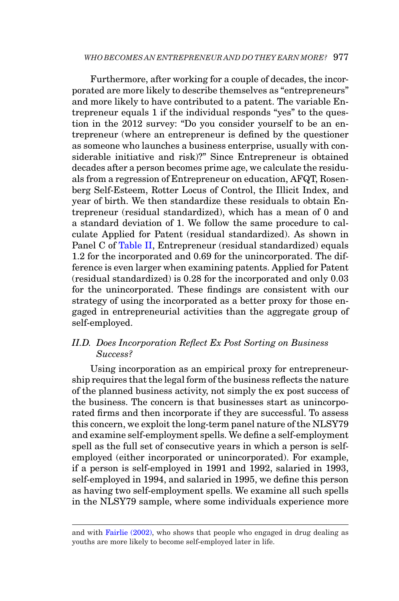Furthermore, after working for a couple of decades, the incorporated are more likely to describe themselves as "entrepreneurs" and more likely to have contributed to a patent. The variable Entrepreneur equals 1 if the individual responds "yes" to the question in the 2012 survey: "Do you consider yourself to be an entrepreneur (where an entrepreneur is defined by the questioner as someone who launches a business enterprise, usually with considerable initiative and risk)?" Since Entrepreneur is obtained decades after a person becomes prime age, we calculate the residuals from a regression of Entrepreneur on education, AFQT, Rosenberg Self-Esteem, Rotter Locus of Control, the Illicit Index, and year of birth. We then standardize these residuals to obtain Entrepreneur (residual standardized), which has a mean of 0 and a standard deviation of 1. We follow the same procedure to calculate Applied for Patent (residual standardized). As shown in Panel C of [Table II,](#page-13-0) Entrepreneur (residual standardized) equals 1.2 for the incorporated and 0.69 for the unincorporated. The difference is even larger when examining patents. Applied for Patent (residual standardized) is 0.28 for the incorporated and only 0.03 for the unincorporated. These findings are consistent with our strategy of using the incorporated as a better proxy for those engaged in entrepreneurial activities than the aggregate group of self-employed.

# *II.D. Does Incorporation Reflect Ex Post Sorting on Business Success?*

Using incorporation as an empirical proxy for entrepreneurship requires that the legal form of the business reflects the nature of the planned business activity, not simply the ex post success of the business. The concern is that businesses start as unincorporated firms and then incorporate if they are successful. To assess this concern, we exploit the long-term panel nature of the NLSY79 and examine self-employment spells. We define a self-employment spell as the full set of consecutive years in which a person is selfemployed (either incorporated or unincorporated). For example, if a person is self-employed in 1991 and 1992, salaried in 1993, self-employed in 1994, and salaried in 1995, we define this person as having two self-employment spells. We examine all such spells in the NLSY79 sample, where some individuals experience more

and with [Fairlie \(2002\),](#page-53-17) who shows that people who engaged in drug dealing as youths are more likely to become self-employed later in life.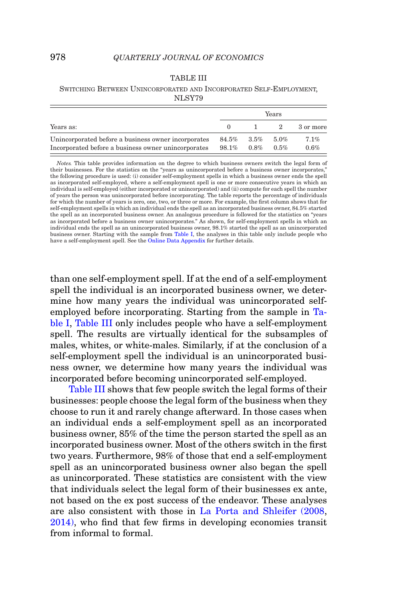#### TABLE III

#### <span id="page-15-0"></span>SWITCHING BETWEEN UNINCORPORATED AND INCORPORATED SELF-EMPLOYMENT, NLSY79

|                                                     |              |                  | Years   |           |
|-----------------------------------------------------|--------------|------------------|---------|-----------|
| Years as:                                           |              | $\sim$ 1. $\sim$ | 2       | 3 or more |
| Unincorporated before a business owner incorporates |              | 84.5% 3.5%       | 5.0%    | 7.1%      |
| Incorporated before a business owner unincorporates | 98.1\% 0.8\% |                  | $0.5\%$ | 0.6%      |

*Notes.* This table provides information on the degree to which business owners switch the legal form of their businesses. For the statistics on the "years as unincorporated before a business owner incorporates," the following procedure is used: (i) consider self-employment spells in which a business owner ends the spell as incorporated self-employed, where a self-employment spell is one or more consecutive years in which an individual is self-employed (either incorporated or unincorporated) and (ii) compute for each spell the number of years the person was unincorporated before incorporating. The table reports the percentage of individuals for which the number of years is zero, one, two, or three or more. For example, the first column shows that for self-employment spells in which an individual ends the spell as an incorporated business owner, 84.5% started the spell as an incorporated business owner. An analogous procedure is followed for the statistics on "years as incorporated before a business owner unincorporates." As shown, for self-employment spells in which an individual ends the spell as an unincorporated business owner, 98.1% started the spell as an unincorporated business owner. Starting with the sample from [Table I,](#page-7-0) the analyses in this table only include people who have a self-employment spell. See the [Online Data Appendix](https://academic.oup.com/qje) for further details.

than one self-employment spell. If at the end of a self-employment spell the individual is an incorporated business owner, we determine how many years the individual was unincorporated selfemployed before incorporating. Starting from the sample in [Ta](#page-7-0)[ble I,](#page-7-0) [Table III](#page-15-0) only includes people who have a self-employment spell. The results are virtually identical for the subsamples of males, whites, or white-males. Similarly, if at the conclusion of a self-employment spell the individual is an unincorporated business owner, we determine how many years the individual was incorporated before becoming unincorporated self-employed.

[Table III](#page-15-0) shows that few people switch the legal forms of their businesses: people choose the legal form of the business when they choose to run it and rarely change afterward. In those cases when an individual ends a self-employment spell as an incorporated business owner, 85% of the time the person started the spell as an incorporated business owner. Most of the others switch in the first two years. Furthermore, 98% of those that end a self-employment spell as an unincorporated business owner also began the spell as unincorporated. These statistics are consistent with the view that individuals select the legal form of their businesses ex ante, not based on the ex post success of the endeavor. These analyses are also consistent with those in [La Porta and Shleifer \(2008,](#page-54-3) [2014\),](#page-54-4) who find that few firms in developing economies transit from informal to formal.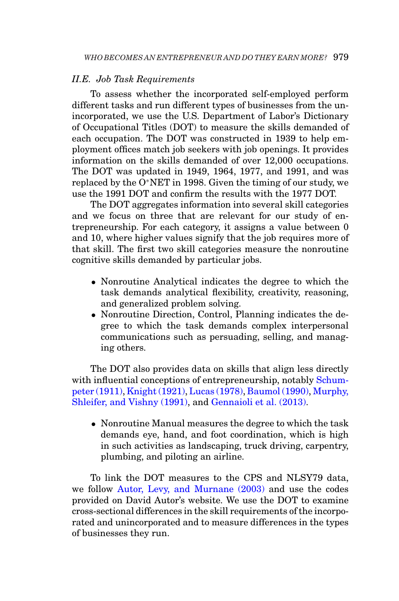### *II.E. Job Task Requirements*

To assess whether the incorporated self-employed perform different tasks and run different types of businesses from the unincorporated, we use the U.S. Department of Labor's Dictionary of Occupational Titles (DOT) to measure the skills demanded of each occupation. The DOT was constructed in 1939 to help employment offices match job seekers with job openings. It provides information on the skills demanded of over 12,000 occupations. The DOT was updated in 1949, 1964, 1977, and 1991, and was replaced by the O∗NET in 1998. Given the timing of our study, we use the 1991 DOT and confirm the results with the 1977 DOT.

The DOT aggregates information into several skill categories and we focus on three that are relevant for our study of entrepreneurship. For each category, it assigns a value between 0 and 10, where higher values signify that the job requires more of that skill. The first two skill categories measure the nonroutine cognitive skills demanded by particular jobs.

- Nonroutine Analytical indicates the degree to which the task demands analytical flexibility, creativity, reasoning, and generalized problem solving.
- Nonroutine Direction, Control, Planning indicates the degree to which the task demands complex interpersonal communications such as persuading, selling, and managing others.

The DOT also provides data on skills that align less directly with influential conceptions of entrepreneurship, notably [Schum](#page-55-1)[peter \(1911\),](#page-55-1) [Knight \(1921\),](#page-54-18) [Lucas \(1978\),](#page-54-0) [Baumol \(1990\),](#page-53-0) [Murphy,](#page-54-1) [Shleifer, and Vishny \(1991\),](#page-54-1) and [Gennaioli et al. \(2013\).](#page-53-1)

• Nonroutine Manual measures the degree to which the task demands eye, hand, and foot coordination, which is high in such activities as landscaping, truck driving, carpentry, plumbing, and piloting an airline.

To link the DOT measures to the CPS and NLSY79 data, we follow [Autor, Levy, and Murnane \(2003\)](#page-53-18) and use the codes provided on David Autor's website. We use the DOT to examine cross-sectional differences in the skill requirements of the incorporated and unincorporated and to measure differences in the types of businesses they run.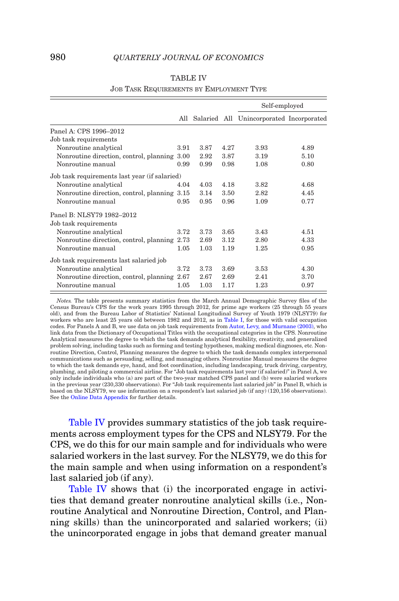<span id="page-17-0"></span>

|                                               |      |      |      | Self-employed                                |      |
|-----------------------------------------------|------|------|------|----------------------------------------------|------|
|                                               |      |      |      | All Salaried All Unincorporated Incorporated |      |
| Panel A: CPS 1996-2012                        |      |      |      |                                              |      |
| Job task requirements                         |      |      |      |                                              |      |
| Nonroutine analytical                         | 3.91 | 3.87 | 4.27 | 3.93                                         | 4.89 |
| Nonroutine direction, control, planning       | 3.00 | 2.92 | 3.87 | 3.19                                         | 5.10 |
| Nonroutine manual                             | 0.99 | 0.99 | 0.98 | 1.08                                         | 0.80 |
| Job task requirements last year (if salaried) |      |      |      |                                              |      |
| Nonroutine analytical                         | 4.04 | 4.03 | 4.18 | 3.82                                         | 4.68 |
| Nonroutine direction, control, planning 3.15  |      | 3.14 | 3.50 | 2.82                                         | 4.45 |
| Nonroutine manual                             | 0.95 | 0.95 | 0.96 | 1.09                                         | 0.77 |
| Panel B: NLSY79 1982-2012                     |      |      |      |                                              |      |
| Job task requirements                         |      |      |      |                                              |      |
| Nonroutine analytical                         | 3.72 | 3.73 | 3.65 | 3.43                                         | 4.51 |
| Nonroutine direction, control, planning 2.73  |      | 2.69 | 3.12 | 2.80                                         | 4.33 |
| Nonroutine manual                             | 1.05 | 1.03 | 1.19 | 1.25                                         | 0.95 |
| Job task requirements last salaried job       |      |      |      |                                              |      |
| Nonroutine analytical                         | 3.72 | 3.73 | 3.69 | 3.53                                         | 4.30 |
| Nonroutine direction, control, planning       | 2.67 | 2.67 | 2.69 | 2.41                                         | 3.70 |
| Nonroutine manual                             | 1.05 | 1.03 | 1.17 | 1.23                                         | 0.97 |

## TABLE IV JOB TASK REQUIREMENTS BY EMPLOYMENT TYPE

*Notes.* The table presents summary statistics from the March Annual Demographic Survey files of the Census Bureau's CPS for the work years 1995 through 2012, for prime age workers (25 through 55 years old), and from the Bureau Labor of Statistics' National Longitudinal Survey of Youth 1979 (NLSY79) for workers who are least 25 years old between 1982 and 2012, as in [Table I,](#page-7-0) for those with valid occupation codes. For Panels A and B, we use data on job task requirements from [Autor, Levy, and Murnane \(2003\),](#page-53-18) who link data from the Dictionary of Occupational Titles with the occupational categories in the CPS. Nonroutine Analytical measures the degree to which the task demands analytical flexibility, creativity, and generalized problem solving, including tasks such as forming and testing hypotheses, making medical diagnoses, etc. Nonroutine Direction, Control, Planning measures the degree to which the task demands complex interpersonal communications such as persuading, selling, and managing others. Nonroutine Manual measures the degree to which the task demands eye, hand, and foot coordination, including landscaping, truck driving, carpentry, plumbing, and piloting a commercial airline. For "Job task requirements last year (if salaried)" in Panel A, we only include individuals who (a) are part of the two-year matched CPS panel and (b) were salaried workers in the previous year (230,330 observations). For "Job task requirements last salaried job" in Panel B, which is based on the NLSY79, we use information on a respondent's last salaried job (if any) (120,156 observations). See the [Online Data Appendix](https://academic.oup.com/qje) for further details.

[Table IV](#page-17-0) provides summary statistics of the job task requirements across employment types for the CPS and NLSY79. For the CPS, we do this for our main sample and for individuals who were salaried workers in the last survey. For the NLSY79, we do this for the main sample and when using information on a respondent's last salaried job (if any).

[Table IV](#page-17-0) shows that (i) the incorporated engage in activities that demand greater nonroutine analytical skills (i.e., Nonroutine Analytical and Nonroutine Direction, Control, and Planning skills) than the unincorporated and salaried workers; (ii) the unincorporated engage in jobs that demand greater manual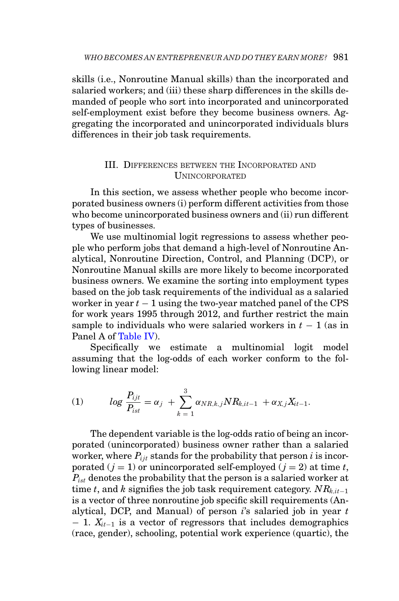skills (i.e., Nonroutine Manual skills) than the incorporated and salaried workers; and (iii) these sharp differences in the skills demanded of people who sort into incorporated and unincorporated self-employment exist before they become business owners. Aggregating the incorporated and unincorporated individuals blurs differences in their job task requirements.

## <span id="page-18-0"></span>III. DIFFERENCES BETWEEN THE INCORPORATED AND UNINCORPORATED

In this section, we assess whether people who become incorporated business owners (i) perform different activities from those who become unincorporated business owners and (ii) run different types of businesses.

We use multinomial logit regressions to assess whether people who perform jobs that demand a high-level of Nonroutine Analytical, Nonroutine Direction, Control, and Planning (DCP), or Nonroutine Manual skills are more likely to become incorporated business owners. We examine the sorting into employment types based on the job task requirements of the individual as a salaried worker in year  $t - 1$  using the two-year matched panel of the CPS for work years 1995 through 2012, and further restrict the main sample to individuals who were salaried workers in  $t - 1$  (as in Panel A of [Table IV\)](#page-17-0).

Specifically we estimate a multinomial logit model assuming that the log-odds of each worker conform to the following linear model:

(1) 
$$
\log \frac{P_{ijt}}{P_{ist}} = \alpha_j + \sum_{k=1}^{3} \alpha_{NR,k,j} NR_{k, it-1} + \alpha_{X,j} X_{it-1}.
$$

The dependent variable is the log-odds ratio of being an incorporated (unincorporated) business owner rather than a salaried worker, where  $P_{i,i}$  stands for the probability that person  $i$  is incorporated  $(j = 1)$  or unincorporated self-employed  $(j = 2)$  at time *t*,  $P_{\text{ist}}$  denotes the probability that the person is a salaried worker at time *t*, and *k* signifies the job task requirement category.  $NR_{k,i-1}$ is a vector of three nonroutine job specific skill requirements (Analytical, DCP, and Manual) of person *i*'s salaried job in year *t* − 1. *Xit*−<sup>1</sup> is a vector of regressors that includes demographics (race, gender), schooling, potential work experience (quartic), the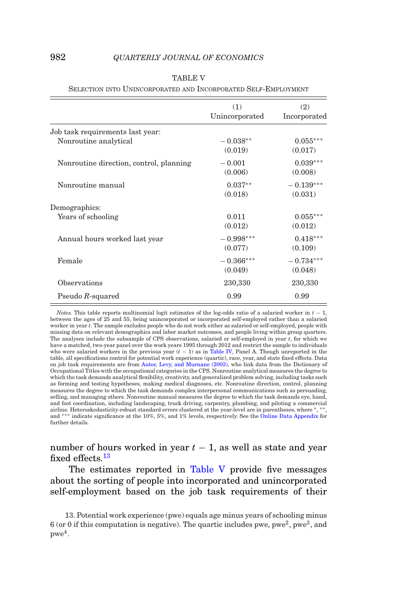<span id="page-19-1"></span>

| (1)            | (2)          |
|----------------|--------------|
| Unincorporated | Incorporated |
|                |              |
| $-0.038**$     | $0.055***$   |
| (0.019)        | (0.017)      |
| $-0.001$       | $0.039***$   |
| (0.006)        | (0.008)      |
| $0.037**$      | $-0.139***$  |
| (0.018)        | (0.031)      |
|                |              |
| 0.011          | $0.055***$   |
| (0.012)        | (0.012)      |
| $-0.998***$    | $0.418***$   |
| (0.077)        | (0.109)      |
| $-0.366***$    | $-0.734***$  |
| (0.049)        | (0.048)      |
| 230,330        | 230,330      |
| 0.99           | 0.99         |
|                |              |

#### TABLE V

SELECTION INTO UNINCORPORATED AND INCORPORATED SELF-EMPLOYMENT

*Notes.* This table reports multinomial logit estimates of the log-odds ratio of a salaried worker in *t* − 1, between the ages of 25 and 55, being unincorporated or incorporated self-employed rather than a salaried worker in year *t*. The sample excludes people who do not work either as salaried or self-employed, people with missing data on relevant demographics and labor market outcomes, and people living within group quarters. The analyses include the subsample of CPS observations, salaried or self-employed in year *t*, for which we have a matched, two-year panel over the work years 1995 through 2012 and restrict the sample to individuals who were salaried workers in the previous year  $(t - 1)$  as in [Table IV,](#page-17-0) Panel A. Though unreported in the table, all specifications control for potential work experience (quartic), race, year, and state fixed effects. Data on job task requirements are from [Autor, Levy, and Murnane \(2003\),](#page-53-18) who link data from the Dictionary of Occupational Titles with the occupational categories in the CPS. Nonroutine analytical measures the degree to which the task demands analytical flexibility, creativity, and generalized problem solving, including tasks such as forming and testing hypotheses, making medical diagnoses, etc. Nonroutine direction, control, planning measures the degree to which the task demands complex interpersonal communications such as persuading, selling, and managing others. Nonroutine manual measures the degree to which the task demands eye, hand, and foot coordination, including landscaping, truck driving, carpentry, plumbing, and piloting a commercial airline. Heteroskedasticity-robust standard errors clustered at the year-level are in parentheses, where  $*$ , and ∗∗∗ indicate significance at the 10%, 5%, and 1% levels, respectively. See the [Online Data Appendix](https://academic.oup.com/qje) for further details.

number of hours worked in year  $t - 1$ , as well as state and year fixed effects.<sup>[13](#page-19-0)</sup>

The estimates reported in [Table V](#page-19-1) provide five messages about the sorting of people into incorporated and unincorporated self-employment based on the job task requirements of their

<span id="page-19-0"></span>13. Potential work experience (pwe) equals age minus years of schooling minus 6 (or 0 if this computation is negative). The quartic includes pwe, pwe<sup>2</sup>, pwe<sup>3</sup>, and  $pwe^4$ .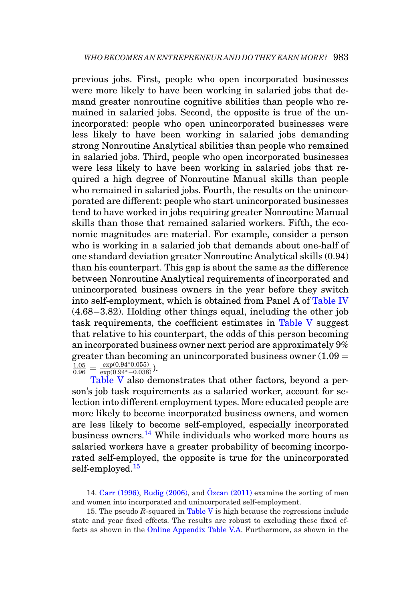previous jobs. First, people who open incorporated businesses were more likely to have been working in salaried jobs that demand greater nonroutine cognitive abilities than people who remained in salaried jobs. Second, the opposite is true of the unincorporated: people who open unincorporated businesses were less likely to have been working in salaried jobs demanding strong Nonroutine Analytical abilities than people who remained in salaried jobs. Third, people who open incorporated businesses were less likely to have been working in salaried jobs that required a high degree of Nonroutine Manual skills than people who remained in salaried jobs. Fourth, the results on the unincorporated are different: people who start unincorporated businesses tend to have worked in jobs requiring greater Nonroutine Manual skills than those that remained salaried workers. Fifth, the economic magnitudes are material. For example, consider a person who is working in a salaried job that demands about one-half of one standard deviation greater Nonroutine Analytical skills (0.94) than his counterpart. This gap is about the same as the difference between Nonroutine Analytical requirements of incorporated and unincorporated business owners in the year before they switch into self-employment, which is obtained from Panel A of [Table IV](#page-17-0) (4.68−3.82). Holding other things equal, including the other job task requirements, the coefficient estimates in [Table V](#page-19-1) suggest that relative to his counterpart, the odds of this person becoming an incorporated business owner next period are approximately 9% greater than becoming an unincorporated business owner  $(1.09 =$  $\frac{1.05}{0.96} = \frac{\exp(0.94^{*}0.055)}{\exp(0.94^{*}-0.038)}$ .

[Table V](#page-19-1) also demonstrates that other factors, beyond a person's job task requirements as a salaried worker, account for selection into different employment types. More educated people are more likely to become incorporated business owners, and women are less likely to become self-employed, especially incorporated business owners[.14](#page-20-0) While individuals who worked more hours as salaried workers have a greater probability of becoming incorporated self-employed, the opposite is true for the unincorporated self-employed.<sup>[15](#page-20-1)</sup>

<span id="page-20-0"></span>14. [Carr \(1996\),](#page-53-12) [Budig \(2006\),](#page-53-13) and  $\ddot{O}$ zcan (2011) examine the sorting of men and women into incorporated and unincorporated self-employment.

<span id="page-20-1"></span>15. The pseudo *R*-squared in [Table V](#page-19-1) is high because the regressions include state and year fixed effects. The results are robust to excluding these fixed effects as shown in the [Online Appendix Table V.A.](https://academic.oup.com/qje) Furthermore, as shown in the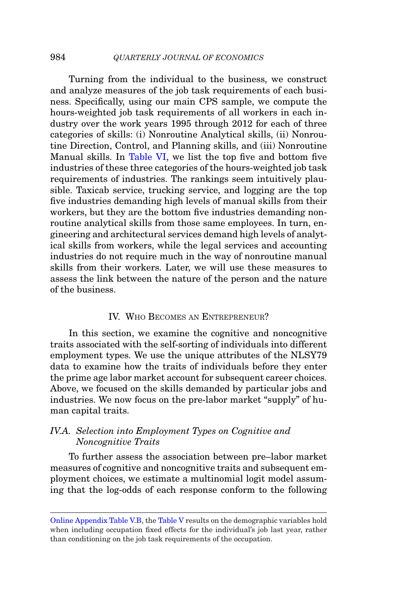Turning from the individual to the business, we construct and analyze measures of the job task requirements of each business. Specifically, using our main CPS sample, we compute the hours-weighted job task requirements of all workers in each industry over the work years 1995 through 2012 for each of three categories of skills: (i) Nonroutine Analytical skills, (ii) Nonroutine Direction, Control, and Planning skills, and (iii) Nonroutine Manual skills. In [Table VI,](#page-22-0) we list the top five and bottom five industries of these three categories of the hours-weighted job task requirements of industries. The rankings seem intuitively plausible. Taxicab service, trucking service, and logging are the top five industries demanding high levels of manual skills from their workers, but they are the bottom five industries demanding nonroutine analytical skills from those same employees. In turn, engineering and architectural services demand high levels of analytical skills from workers, while the legal services and accounting industries do not require much in the way of nonroutine manual skills from their workers. Later, we will use these measures to assess the link between the nature of the person and the nature of the business.

#### <span id="page-21-0"></span>IV. WHO BECOMES AN ENTREPRENEUR?

In this section, we examine the cognitive and noncognitive traits associated with the self-sorting of individuals into different employment types. We use the unique attributes of the NLSY79 data to examine how the traits of individuals before they enter the prime age labor market account for subsequent career choices. Above, we focused on the skills demanded by particular jobs and industries. We now focus on the pre-labor market "supply" of human capital traits.

## *IV.A. Selection into Employment Types on Cognitive and Noncognitive Traits*

To further assess the association between pre–labor market measures of cognitive and noncognitive traits and subsequent employment choices, we estimate a multinomial logit model assuming that the log-odds of each response conform to the following

[Online Appendix Table V.B,](https://academic.oup.com/qje) the [Table V](#page-19-1) results on the demographic variables hold when including occupation fixed effects for the individual's job last year, rather than conditioning on the job task requirements of the occupation.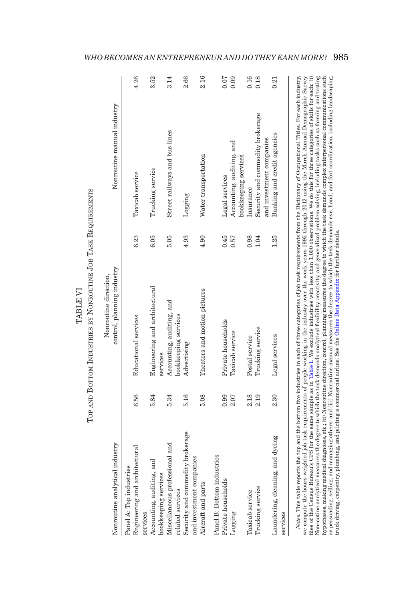| Nonroutine analytical industry                               |      | Nonroutine direction,                                                                                                                                                                |      | Nonroutine manual industry       |      |
|--------------------------------------------------------------|------|--------------------------------------------------------------------------------------------------------------------------------------------------------------------------------------|------|----------------------------------|------|
|                                                              |      | control, planning industry                                                                                                                                                           |      |                                  |      |
| Panel A: Top industries                                      |      |                                                                                                                                                                                      |      |                                  |      |
| Engineering and architectural<br>services                    | 6.56 | <b>Educational</b> services                                                                                                                                                          | 6.23 | Taxicab service                  | 4.26 |
| Accounting, auditing, and                                    | 5.84 | Engineering and architectural                                                                                                                                                        | 6.05 | Trucking service                 | 3.52 |
| bookkeeping services                                         |      | services                                                                                                                                                                             |      |                                  |      |
| Miscellaneous professional and<br>related services           | 5.34 | Accounting, auditing, and<br>bookkeeping services                                                                                                                                    | 5.05 | Street railways and bus lines    | 3.14 |
|                                                              | 5.16 |                                                                                                                                                                                      | 4.93 |                                  | 2.66 |
| Security and commodity brokerage<br>and investment companies |      | Advertising                                                                                                                                                                          |      | Logging                          |      |
| Aircraft and parts                                           | 5.08 | Theaters and motion pictures                                                                                                                                                         | 4.90 | Water transportation             | 2.16 |
| Panel B: Bottom industries                                   |      |                                                                                                                                                                                      |      |                                  |      |
| Private households                                           | 0.99 | Private households                                                                                                                                                                   | 0.45 | Legal services                   | 0.07 |
| Logging                                                      | 2.07 | Taxicab service                                                                                                                                                                      | 0.57 | Accounting, auditing, and        | 0.09 |
|                                                              |      |                                                                                                                                                                                      |      | bookkeeping services             |      |
| Taxicab service                                              | 2.18 | Postal service                                                                                                                                                                       | 0.98 | Insurance                        | 0.16 |
| Trucking service                                             | 2.19 | Trucking service                                                                                                                                                                     | 1.04 | Security and commodity brokerage | 0.18 |
|                                                              |      |                                                                                                                                                                                      |      | and investment companies         |      |
| Laundering, cleaning, and dyeing<br>services                 | 2.30 | Legal services                                                                                                                                                                       | 1.25 | Banking and credit agencies      | 0.21 |
|                                                              |      | Notes. This table reports the top and the bottom five industries in each of three categories of io) task requirements from the Dictionary of Occupational Titles. For each industry, |      |                                  |      |

<span id="page-22-0"></span>TABLE VI

**TABLE VI**  $\mathbf{r}$ 

*WHO BECOMES AN ENTREPRENEUR AND DO THEY EARN MORE?* 985

roces. Illustrations the computation in the consumer the material control of the industry of the state of particle in the industry of the same state of particle in the industry of the same state of particle in the industry Nonroutine analytical measures the degree to which the task demands analytical flexibility, creativity, and generalized problem solving, including tasks such as forming and testing<br>bypotheses, making medical diagnoses, etc Nonroutine analytical measures the degree to which the task demands analytical flexibility, creativity, and generalized problem solving, including tasks such as forming and testing *Notes*. This table reports the top and the bottom five industries in each of three categories of job task requirements from the Dictionary of Occupational Titles. For each industry, we compute the hours-weighted job task requirements of people working in the industry over the work years 1995 through 2012 using the March Annual Demographic Survey files of the Census Bureau's CPS for the same sample as in [Table](#page-7-0) I. We exclude industries with less than 1,000 observations. We do this for three categories of skills for each: (i) hypotheses, making medical diagnoses, etc.; (ii) Nonroutine direction, control, planning measures the degree to which the task demands complex interpersonal communications such as persuading, selling, and managing others; and (iii) Nonroutine manual measures the degree to which the task demands eye, hand, and foot coordination, including landscaping, truck driving, carpentry, plumbing, and piloting a commercial airline. See the Online Data Appendix for further details. truck driving, carpentry, plumbing, and piloting a commercial airline. See the Online Data [Appendix](https://academic.oup.com/qje) for further details.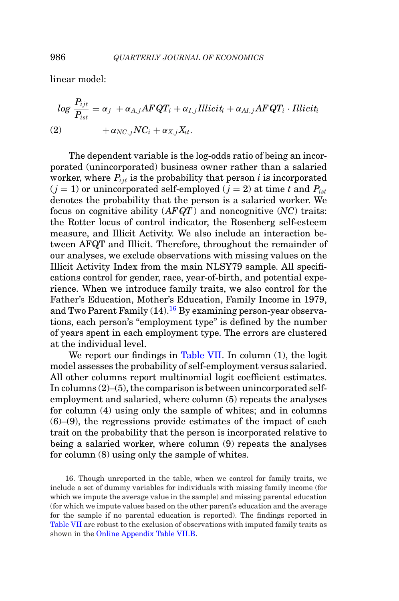linear model:

$$
log \frac{P_{ijt}}{P_{ist}} = \alpha_j + \alpha_{A,j} AFQT_i + \alpha_{I,j} Illicit_i + \alpha_{AI,j} AFQT_i \cdot Illicit_i
$$
  
(2) 
$$
+ \alpha_{NC,j} NC_i + \alpha_{X,j} X_{it}.
$$

The dependent variable is the log-odds ratio of being an incorporated (unincorporated) business owner rather than a salaried worker, where  $P_{i,i}$  is the probability that person *i* is incorporated  $(j = 1)$  or unincorporated self-employed  $(j = 2)$  at time t and  $P_{ist}$ denotes the probability that the person is a salaried worker. We focus on cognitive ability (*AF QT*) and noncognitive (*NC*) traits: the Rotter locus of control indicator, the Rosenberg self-esteem measure, and Illicit Activity. We also include an interaction between AFQT and Illicit. Therefore, throughout the remainder of our analyses, we exclude observations with missing values on the Illicit Activity Index from the main NLSY79 sample. All specifications control for gender, race, year-of-birth, and potential experience. When we introduce family traits, we also control for the Father's Education, Mother's Education, Family Income in 1979, and Two Parent Family  $(14)$ .<sup>16</sup> By examining person-year observations, each person's "employment type" is defined by the number of years spent in each employment type. The errors are clustered at the individual level.

We report our findings in [Table VII.](#page-24-0) In column (1), the logit model assesses the probability of self-employment versus salaried. All other columns report multinomial logit coefficient estimates. In columns  $(2)$ – $(5)$ , the comparison is between unincorporated selfemployment and salaried, where column (5) repeats the analyses for column (4) using only the sample of whites; and in columns  $(6)$ – $(9)$ , the regressions provide estimates of the impact of each trait on the probability that the person is incorporated relative to being a salaried worker, where column (9) repeats the analyses for column (8) using only the sample of whites.

<span id="page-23-0"></span>16. Though unreported in the table, when we control for family traits, we include a set of dummy variables for individuals with missing family income (for which we impute the average value in the sample) and missing parental education (for which we impute values based on the other parent's education and the average for the sample if no parental education is reported). The findings reported in [Table VII](#page-24-0) are robust to the exclusion of observations with imputed family traits as shown in the [Online Appendix Table VII.B.](https://academic.oup.com/qje)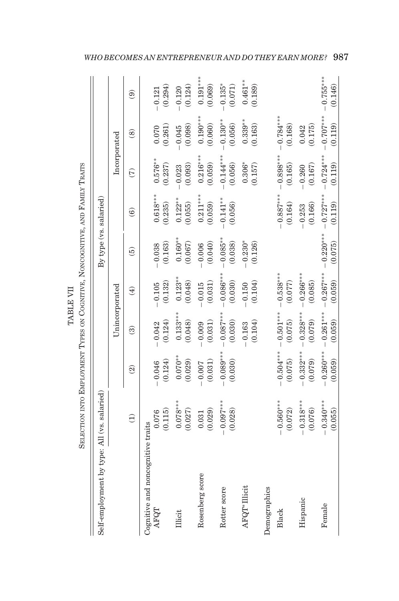<span id="page-24-0"></span>

|                          | ֦֧֧ׅ֧֧֧ׅ֧֧֧֧ׅ֧֧ׅ֧֧֧֧֧֧֚֚֚֚֚֚֚֚֚֚֚֚֚֚֚֚֚֚֚֚֚֚֚֚֚֡֕֝֕֝֕֝֝֜֝֓֝֬֜֝֬֝֬֝֬֜֝֬֜֝֬֝֬֝֬֝֬֝֬<br>֖֖֖֖֖֖ׅׅׅׅׅ֖֧֚֚֚֚֚֚֚֚֚֚֚֚֚֚֚֚֚֚֚֚֚֚֚֚֡֬֝֬֝֬֓֓֞֝֓֞<br>D<br>٠<br>تا |
|--------------------------|--------------------------------------------------------------------------------------------------------------------------------------------------------|
| <b>THATT IS THE</b><br>i | <b>THEFT</b><br>$\frac{1}{4}$<br>ŗ<br>)<br>)<br>-<br>ة<br>أ<br>The Filter money of<br>E PLAT<br>i<br>ļ<br>į<br>Ï                                       |

| Self-employment by type: All (vs. salaried) |                        |                          |                         |                        | By type (vs. salaried) |                        |                        |                        |                        |
|---------------------------------------------|------------------------|--------------------------|-------------------------|------------------------|------------------------|------------------------|------------------------|------------------------|------------------------|
|                                             |                        |                          | Unincorporated          |                        |                        |                        | Incorporated           |                        |                        |
|                                             | $\widehat{\Xi}$        | $\widehat{\mathfrak{D}}$ | $\widehat{\mathcal{E}}$ | $\widehat{E}$          | $\widehat{e}$          | $\odot$                | $\widehat{C}$          | $\circledS$            | $\widehat{e}$          |
| Cognitive and noncognitive traits<br>AFQT   | 0.076                  | $-0.046$                 | $-0.042$                | $-0.105$               | $-0.038$               | $0.618***$             | $0.576**$              | 0.070                  | $-0.121$               |
|                                             | (0.115)                | (0.124)                  | (0.124)                 | (0.132)                | (0.163)                | (0.235)                | (0.237)                | (0.261)                | (0.294)                |
| <b>Illicit</b>                              | $0.078***$<br>(0.027)  | $0.070**$<br>(0.029)     | $0.133***$<br>(0.048)   | $0.123**$<br>(0.048)   | $0.160**$<br>(0.067)   | $0.122**$<br>(0.055)   | (0.093)<br>$-0.023$    | (0.098)<br>$-0.045$    | (0.124)<br>0.120       |
| Rosenberg score                             | (0.029)<br>0.031       | (0.031)<br>0.007         | (0.031)<br>$-0.009$     | (0.031)<br>$-0.015$    | (0.040)<br>$-0.006$    | $0.211***$<br>(0.059)  | $0.216***$<br>(0.059)  | $0.190***$<br>(0.060)  | $0.191***$<br>(0.069)  |
| Rotter score                                | $-0.097***$<br>(0.028) | $-0.089***$<br>(0.030)   | $-0.087***$<br>(0.030)  | $-0.086***$<br>(0.030) | $-0.085***$<br>(0.038) | $-0.141**$<br>(0.056)  | $-0.144***$<br>(0.056) | $-0.130**$<br>(0.056)  | $-0.135*$<br>(0.071)   |
| AFQT* Illicit                               |                        |                          | (0.104)<br>$-0.163$     | (0.104)<br>$-0.150$    | $-0.230*$<br>(0.126)   |                        | $0.306*$<br>(0.157)    | $0.339***$<br>(0.163)  | $0.461***$<br>(0.189)  |
| Demographics                                |                        |                          |                         |                        |                        |                        |                        |                        |                        |
| Black                                       | $-0.560***$<br>(0.072) | $-0.504***$<br>(0.075)   | $-0.501***$<br>(0.075)  | $-0.538***$<br>(0.077) |                        | $-0.887***$<br>(0.164) | $-0.898***$<br>(0.165) | $-0.784***$<br>(0.168) |                        |
| Hispanic                                    | $-0.318***$<br>(0.076) | $-0.332***$<br>(0.079)   | $-0.328***$<br>(0.079)  | $-0.266***$<br>(0.085) |                        | (0.166)<br>$-0.253$    | (0.167)<br>$-0.260$    | (0.175)<br>0.042       |                        |
| Female                                      | $-0.340***$<br>(0.055) | $-0.260***$<br>(0.059)   | $-0.261***$<br>(0.059)  | $-0.267***$<br>(0.059) | $-0.220***$<br>(0.075) | $-0.727***$<br>(0.119) | $-0.724***$<br>(0.119) | $-0.707***$<br>(0.119) | $-0.755***$<br>(0.146) |

*WHO BECOMES AN ENTREPRENEUR AND DO THEY EARN MORE?* 987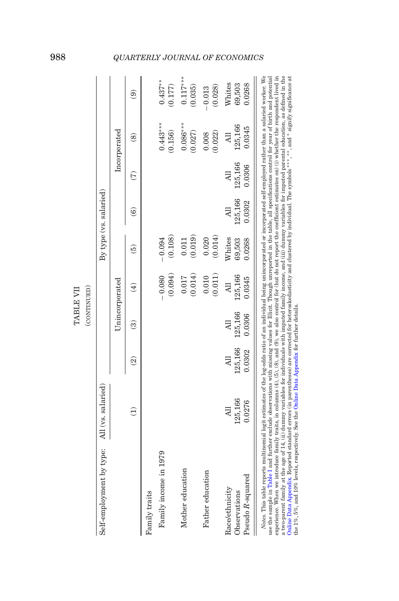<span id="page-25-0"></span>

|                                                                                                                                                                                                                                                                                                                                                                                                                                                                                                                                                                                                                                                                                                                                                                                                                                                                                                                                                                                                                                                                            |                         |                          | TABLE VII                            |                                      |                            |                                 |                   |                                      |                            |
|----------------------------------------------------------------------------------------------------------------------------------------------------------------------------------------------------------------------------------------------------------------------------------------------------------------------------------------------------------------------------------------------------------------------------------------------------------------------------------------------------------------------------------------------------------------------------------------------------------------------------------------------------------------------------------------------------------------------------------------------------------------------------------------------------------------------------------------------------------------------------------------------------------------------------------------------------------------------------------------------------------------------------------------------------------------------------|-------------------------|--------------------------|--------------------------------------|--------------------------------------|----------------------------|---------------------------------|-------------------|--------------------------------------|----------------------------|
|                                                                                                                                                                                                                                                                                                                                                                                                                                                                                                                                                                                                                                                                                                                                                                                                                                                                                                                                                                                                                                                                            |                         |                          | (CONTINUED)                          |                                      |                            |                                 |                   |                                      |                            |
| Self-employment by type:                                                                                                                                                                                                                                                                                                                                                                                                                                                                                                                                                                                                                                                                                                                                                                                                                                                                                                                                                                                                                                                   | All (vs. salaried)      |                          |                                      |                                      |                            | By type (vs. salaried)          |                   |                                      |                            |
|                                                                                                                                                                                                                                                                                                                                                                                                                                                                                                                                                                                                                                                                                                                                                                                                                                                                                                                                                                                                                                                                            |                         |                          |                                      | Unincorporated                       |                            |                                 |                   | Incorporated                         |                            |
|                                                                                                                                                                                                                                                                                                                                                                                                                                                                                                                                                                                                                                                                                                                                                                                                                                                                                                                                                                                                                                                                            |                         | $\widehat{\mathfrak{D}}$ | ම                                    | $\widehat{E}$                        | $\widehat{5}$              | $\widehat{\mathbf{e}}$          | E                 | $\circledS$                          | $\widehat{\mathbf{e}}$     |
| Family traits                                                                                                                                                                                                                                                                                                                                                                                                                                                                                                                                                                                                                                                                                                                                                                                                                                                                                                                                                                                                                                                              |                         |                          |                                      |                                      |                            |                                 |                   |                                      |                            |
| Family income in 1979                                                                                                                                                                                                                                                                                                                                                                                                                                                                                                                                                                                                                                                                                                                                                                                                                                                                                                                                                                                                                                                      |                         |                          |                                      | $-0.080$<br>(0.094)                  | (0.108)<br>$-0.094$        |                                 |                   | $0.443***$<br>(0.156)                | $0.437***$<br>(0.177)      |
| Mother education                                                                                                                                                                                                                                                                                                                                                                                                                                                                                                                                                                                                                                                                                                                                                                                                                                                                                                                                                                                                                                                           |                         |                          |                                      | (0.014)<br>0.017                     | (0.019)<br>0.011           |                                 |                   | $0.086***$<br>(0.027)                | $0.117***$<br>(0.035)      |
| Father education                                                                                                                                                                                                                                                                                                                                                                                                                                                                                                                                                                                                                                                                                                                                                                                                                                                                                                                                                                                                                                                           |                         |                          |                                      | (0.011)<br>0.010                     | (0.014)<br>0.020           |                                 |                   | (0.022)<br>0.008                     | (0.028)<br>$-0.013$        |
| Pseudo R-squared<br>Race/ethnicity<br>Observations                                                                                                                                                                                                                                                                                                                                                                                                                                                                                                                                                                                                                                                                                                                                                                                                                                                                                                                                                                                                                         | 125,166<br>0.0276<br>ER | 125,166<br>0.0302        | 125,166<br>0.0306<br>$\overline{AB}$ | 125,166<br>0.0345<br>$\overline{AB}$ | Whites<br>69,503<br>0.0268 | 125,166<br>0.0302<br><b>All</b> | 125,166<br>0.0306 | 125,166<br>0.0345<br>$\overline{AB}$ | Whites<br>0.0268<br>69,503 |
| a two-parent family at the age of 14, (ii) dummy variables for individuals with imputed family income, and (iii) dummy variables for imputed parental education, as defined in the<br>Notes. This table reports multinomial logit estimates of the log-odds ratio of an individual being unincorporated or incorporated self-employed rather than a salaried worker. We<br>use the sample in Table I and further exclude observations with missing values for Illicit. Though unreported in the table, all specifications control for year of birth and potential<br>experience. When we introduce family traits, in columns $(4)$ , $(5)$ , $(8)$ , and $(9)$ , we also control for (but do not report the coefficient estimates on) (i) whether the respondent lived in<br>Online Data Appendix. Reported standard errors (in parentheses) are corrected for heteroskedasticity and clustered by individual. The symbols***, **, and * signify significance at<br>the $1\%$ , $5\%$ , and $10\%$ levels, respectively. See the Online Data Appendix for further details. |                         |                          |                                      |                                      |                            |                                 |                   |                                      |                            |

# 988 *QUARTERLY JOURNAL OF ECONOMICS*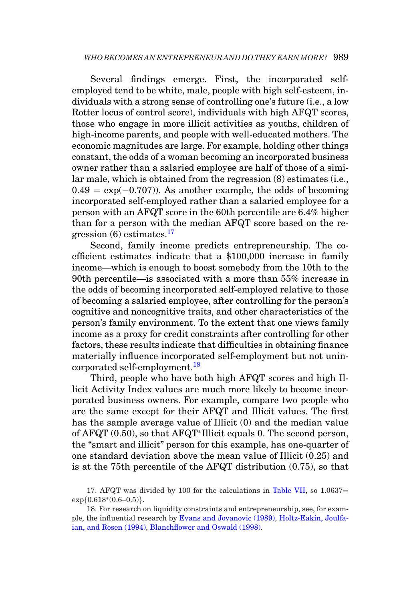Several findings emerge. First, the incorporated selfemployed tend to be white, male, people with high self-esteem, individuals with a strong sense of controlling one's future (i.e., a low Rotter locus of control score), individuals with high AFQT scores, those who engage in more illicit activities as youths, children of high-income parents, and people with well-educated mothers. The economic magnitudes are large. For example, holding other things constant, the odds of a woman becoming an incorporated business owner rather than a salaried employee are half of those of a similar male, which is obtained from the regression (8) estimates (i.e.,  $0.49 = \exp(-0.707)$ . As another example, the odds of becoming incorporated self-employed rather than a salaried employee for a person with an AFQT score in the 60th percentile are 6.4% higher than for a person with the median AFQT score based on the regression  $(6)$  estimates.<sup>[17](#page-26-0)</sup>

Second, family income predicts entrepreneurship. The coefficient estimates indicate that a \$100,000 increase in family income—which is enough to boost somebody from the 10th to the 90th percentile—is associated with a more than 55% increase in the odds of becoming incorporated self-employed relative to those of becoming a salaried employee, after controlling for the person's cognitive and noncognitive traits, and other characteristics of the person's family environment. To the extent that one views family income as a proxy for credit constraints after controlling for other factors, these results indicate that difficulties in obtaining finance materially influence incorporated self-employment but not unincorporated self-employment[.18](#page-26-1)

Third, people who have both high AFQT scores and high Illicit Activity Index values are much more likely to become incorporated business owners. For example, compare two people who are the same except for their AFQT and Illicit values. The first has the sample average value of Illicit (0) and the median value of AFQT (0.50), so that AFQT∗Illicit equals 0. The second person, the "smart and illicit" person for this example, has one-quarter of one standard deviation above the mean value of Illicit (0.25) and is at the 75th percentile of the AFQT distribution (0.75), so that

<span id="page-26-0"></span>17. AFQT was divided by 100 for the calculations in [Table VII,](#page-24-0) so 1.0637=  $exp{0.618*(0.6-0.5)}$ .

<span id="page-26-1"></span>18. For research on liquidity constraints and entrepreneurship, see, for example, the influential research by [Evans and Jovanovic \(1989\),](#page-53-19) [Holtz-Eakin, Joulfa](#page-54-19)[ian, and Rosen \(1994\),](#page-54-19) [Blanchflower and Oswald \(1998\).](#page-53-19)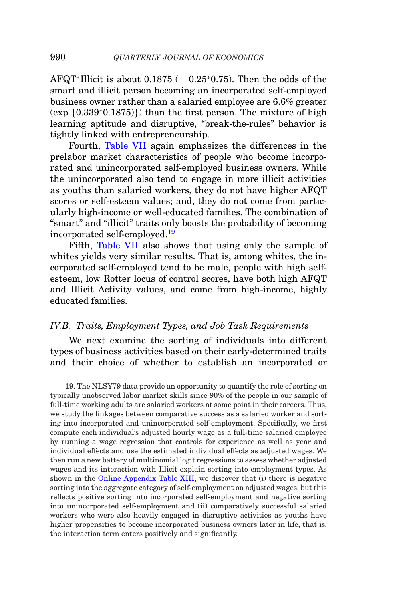AFQT<sup>∗</sup>Illicit is about  $0.1875 (= 0.25*0.75)$ . Then the odds of the smart and illicit person becoming an incorporated self-employed business owner rather than a salaried employee are 6.6% greater (exp {0.339∗0.1875)}) than the first person. The mixture of high learning aptitude and disruptive, "break-the-rules" behavior is tightly linked with entrepreneurship.

Fourth, [Table VII](#page-24-0) again emphasizes the differences in the prelabor market characteristics of people who become incorporated and unincorporated self-employed business owners. While the unincorporated also tend to engage in more illicit activities as youths than salaried workers, they do not have higher AFQT scores or self-esteem values; and, they do not come from particularly high-income or well-educated families. The combination of "smart" and "illicit" traits only boosts the probability of becoming incorporated self-employed.[19](#page-27-0)

Fifth, [Table VII](#page-24-0) also shows that using only the sample of whites yields very similar results. That is, among whites, the incorporated self-employed tend to be male, people with high selfesteem, low Rotter locus of control scores, have both high AFQT and Illicit Activity values, and come from high-income, highly educated families.

### *IV.B. Traits, Employment Types, and Job Task Requirements*

We next examine the sorting of individuals into different types of business activities based on their early-determined traits and their choice of whether to establish an incorporated or

<span id="page-27-0"></span>19. The NLSY79 data provide an opportunity to quantify the role of sorting on typically unobserved labor market skills since 90% of the people in our sample of full-time working adults are salaried workers at some point in their careers. Thus, we study the linkages between comparative success as a salaried worker and sorting into incorporated and unincorporated self-employment. Specifically, we first compute each individual's adjusted hourly wage as a full-time salaried employee by running a wage regression that controls for experience as well as year and individual effects and use the estimated individual effects as adjusted wages. We then run a new battery of multinomial logit regressions to assess whether adjusted wages and its interaction with Illicit explain sorting into employment types. As shown in the [Online Appendix Table XIII,](https://academic.oup.com/qje) we discover that (i) there is negative sorting into the aggregate category of self-employment on adjusted wages, but this reflects positive sorting into incorporated self-employment and negative sorting into unincorporated self-employment and (ii) comparatively successful salaried workers who were also heavily engaged in disruptive activities as youths have higher propensities to become incorporated business owners later in life, that is, the interaction term enters positively and significantly.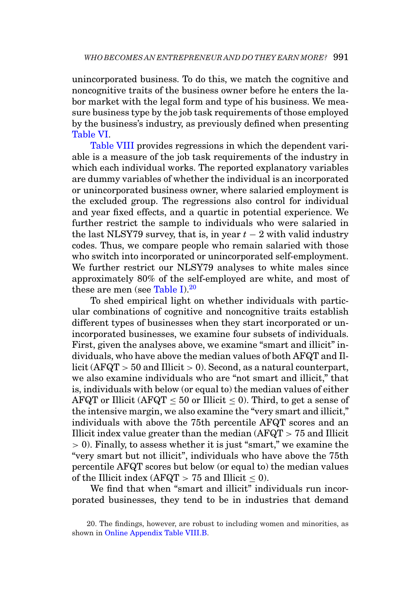unincorporated business. To do this, we match the cognitive and noncognitive traits of the business owner before he enters the labor market with the legal form and type of his business. We measure business type by the job task requirements of those employed by the business's industry, as previously defined when presenting [Table VI.](#page-22-0)

[Table VIII](#page-29-0) provides regressions in which the dependent variable is a measure of the job task requirements of the industry in which each individual works. The reported explanatory variables are dummy variables of whether the individual is an incorporated or unincorporated business owner, where salaried employment is the excluded group. The regressions also control for individual and year fixed effects, and a quartic in potential experience. We further restrict the sample to individuals who were salaried in the last NLSY79 survey, that is, in year  $t - 2$  with valid industry codes. Thus, we compare people who remain salaried with those who switch into incorporated or unincorporated self-employment. We further restrict our NLSY79 analyses to white males since approximately 80% of the self-employed are white, and most of these are men (see [Table I\)](#page-7-0). $20$ 

To shed empirical light on whether individuals with particular combinations of cognitive and noncognitive traits establish different types of businesses when they start incorporated or unincorporated businesses, we examine four subsets of individuals. First, given the analyses above, we examine "smart and illicit" individuals, who have above the median values of both AFQT and Illicit (AFQT  $>$  50 and Illicit  $>$  0). Second, as a natural counterpart, we also examine individuals who are "not smart and illicit," that is, individuals with below (or equal to) the median values of either AFQT or Illicit (AFQT  $\leq 50$  or Illicit  $\leq 0$ ). Third, to get a sense of the intensive margin, we also examine the "very smart and illicit," individuals with above the 75th percentile AFQT scores and an Illicit index value greater than the median  $(AFQT > 75$  and Illicit > 0). Finally, to assess whether it is just "smart," we examine the "very smart but not illicit", individuals who have above the 75th percentile AFQT scores but below (or equal to) the median values of the Illicit index (AFQT  $> 75$  and Illicit  $< 0$ ).

We find that when "smart and illicit" individuals run incorporated businesses, they tend to be in industries that demand

<span id="page-28-0"></span><sup>20.</sup> The findings, however, are robust to including women and minorities, as shown in [Online Appendix Table VIII.B.](https://academic.oup.com/qje)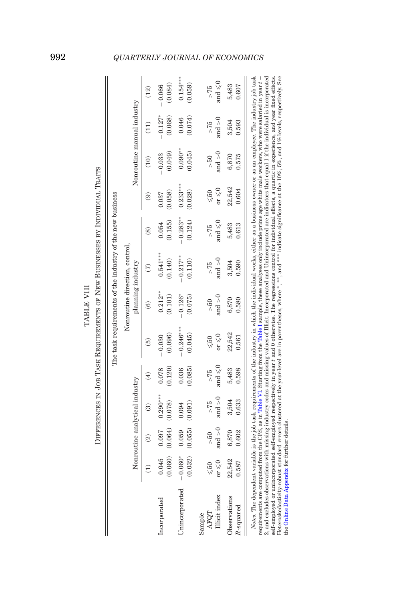|                                 |                                    |                          |                                |                           |                                     |                       | The task requirements of the industry of the new business |                          |                                    |                            |                      |                           |
|---------------------------------|------------------------------------|--------------------------|--------------------------------|---------------------------|-------------------------------------|-----------------------|-----------------------------------------------------------|--------------------------|------------------------------------|----------------------------|----------------------|---------------------------|
|                                 |                                    |                          |                                |                           |                                     |                       | Nonroutine direction, control                             |                          |                                    |                            |                      |                           |
|                                 |                                    |                          | Nonroutine analytical industry |                           |                                     | planning industry     |                                                           |                          |                                    | Nonroutine manual industry |                      |                           |
|                                 |                                    | $\widehat{\mathfrak{A}}$ | ම                              | $\widehat{E}$             | ව                                   | ව                     | $\widehat{\epsilon}$                                      | $\overset{\sim}{\infty}$ | මි                                 | (10)                       | (11)                 | (12)                      |
| Incorporated                    | (0.060)<br>0.045                   | (0.064)<br>0.097         | $0.290***$<br>(0.078)          | (0.120)<br>0.078          | (0.096)<br>$-0.030$                 | $0.212***$<br>(0.101) | $0.541***$<br>(0.140)                                     | (0.155)<br>0.054         | (0.058)<br>0.037                   | (0.049)<br>$-0.033$        | $-0.127*$<br>(0.068) | (0.084)<br>$-0.066$       |
| Unincorporated                  | $-0.060*$<br>(0.032)               | (0.055)<br>0.059         | (0.091)<br>0.094               | 0.036<br>(0.085)          | $-0.246***$<br>(0.045)              | $-0.126*$<br>(0.075)  | $-0.217**$<br>(0.110)                                     | $-0.283**$<br>(0.124)    | $0.233***$<br>(0.028)              | $0.090**$<br>(0.045)       | 0.074)<br>0.046      | $0.154***$<br>(0.059)     |
| Illicit index<br>AFQT<br>Sample | $or \leqslant 0$<br>$\leqslant 50$ | and $>0$<br>> 50         | and $>0$<br>>75                | and $\leqslant$ 0<br>> 75 | or $\leqslant\!0$<br>$\leqslant 50$ | and $>0$<br>> 50      | and $>0$<br>> 75                                          | and $\leqslant$ 0<br>>75 | or $\leqslant$ 0<br>$\leqslant 50$ | and $>0$<br>$\frac{50}{2}$ | and $>0$<br>>75      | and $\leqslant$ 0<br>> 75 |
| Observations<br>$R$ -squared    | 22,542<br>0.587                    | 6,870<br>0.602           | 3,504<br>0.633                 | 5,483<br>0.598            | 22,542<br>0.561                     | 6,870<br>0.580        | 3,504<br>0.590                                            | 0.613<br>5,483           | 22,542<br>0.604                    | 0.575<br>6,870             | 0.593<br>3,504       | 0.607<br>5,483            |

<span id="page-29-0"></span>Ŕ À  $\sim N$ <sub>m</sub> TABLE VIII TABLE VIII

2, and excludes observations with missing industry codes and missing values of Illicit. Incorporated and Unincorporated are indicators that equal 1 if the individual is incorporated<br>self-employed or unincorporated self-em 2, and excludes observations with missing industry codes and missing values of Illicit. Incorporated and Unincorporated are indicators that equal 1 if the individual is incorporated self-employed or unincorporated self-employed respectively in year *t* and 0 otherwise. The regressions control for individual effects, a quartic in experience, and year fixed effects. Heteroskedasticity-robust standard errors clustered at the year-level are in parentheses, where ∗, ∗∗, and ∗∗∗ indicate significance at the 10%, 5%, and 1% levels, respectively. See the Online Data Appendix for further details. the Online Data [Appendix](https://academic.oup.com/qje) for further details.

# 992 *QUARTERLY JOURNAL OF ECONOMICS*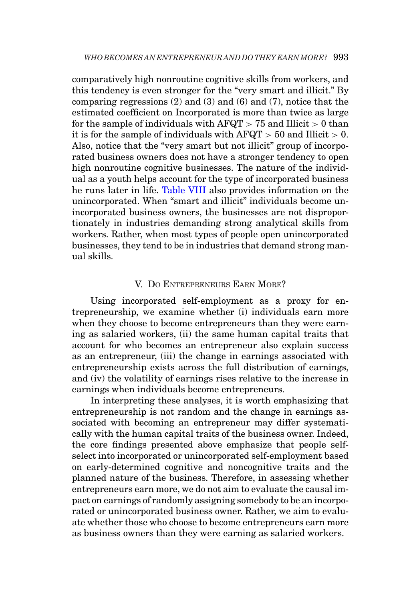comparatively high nonroutine cognitive skills from workers, and this tendency is even stronger for the "very smart and illicit." By comparing regressions  $(2)$  and  $(3)$  and  $(6)$  and  $(7)$ , notice that the estimated coefficient on Incorporated is more than twice as large for the sample of individuals with  $AFQT > 75$  and Illicit  $> 0$  than it is for the sample of individuals with  $AFQT > 50$  and Illicit  $> 0$ . Also, notice that the "very smart but not illicit" group of incorporated business owners does not have a stronger tendency to open high nonroutine cognitive businesses. The nature of the individual as a youth helps account for the type of incorporated business he runs later in life. [Table VIII](#page-29-0) also provides information on the unincorporated. When "smart and illicit" individuals become unincorporated business owners, the businesses are not disproportionately in industries demanding strong analytical skills from workers. Rather, when most types of people open unincorporated businesses, they tend to be in industries that demand strong manual skills.

### <span id="page-30-0"></span>V. DO ENTREPRENEURS EARN MORE?

Using incorporated self-employment as a proxy for entrepreneurship, we examine whether (i) individuals earn more when they choose to become entrepreneurs than they were earning as salaried workers, (ii) the same human capital traits that account for who becomes an entrepreneur also explain success as an entrepreneur, (iii) the change in earnings associated with entrepreneurship exists across the full distribution of earnings, and (iv) the volatility of earnings rises relative to the increase in earnings when individuals become entrepreneurs.

In interpreting these analyses, it is worth emphasizing that entrepreneurship is not random and the change in earnings associated with becoming an entrepreneur may differ systematically with the human capital traits of the business owner. Indeed, the core findings presented above emphasize that people selfselect into incorporated or unincorporated self-employment based on early-determined cognitive and noncognitive traits and the planned nature of the business. Therefore, in assessing whether entrepreneurs earn more, we do not aim to evaluate the causal impact on earnings of randomly assigning somebody to be an incorporated or unincorporated business owner. Rather, we aim to evaluate whether those who choose to become entrepreneurs earn more as business owners than they were earning as salaried workers.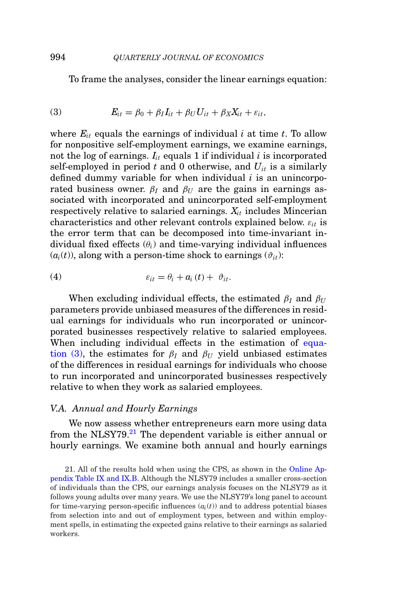To frame the analyses, consider the linear earnings equation:

<span id="page-31-0"></span>(3) 
$$
E_{it} = \beta_0 + \beta_I I_{it} + \beta_U U_{it} + \beta_X X_{it} + \varepsilon_{it},
$$

where  $E_{it}$  equals the earnings of individual  $i$  at time  $t$ . To allow for nonpositive self-employment earnings, we examine earnings, not the log of earnings.  $I_{it}$  equals 1 if individual  $i$  is incorporated self-employed in period  $t$  and 0 otherwise, and  $U_{it}$  is a similarly defined dummy variable for when individual *i* is an unincorporated business owner.  $\beta_I$  and  $\beta_{II}$  are the gains in earnings associated with incorporated and unincorporated self-employment respectively relative to salaried earnings.  $X_{it}$  includes Mincerian characteristics and other relevant controls explained below. ε*it* is the error term that can be decomposed into time-invariant individual fixed effects  $(\theta_i)$  and time-varying individual influences  $(a_i(t))$ , along with a person-time shock to earnings  $(\vartheta_{it})$ :

(4) 
$$
\varepsilon_{it} = \theta_i + a_i(t) + \vartheta_{it}.
$$

When excluding individual effects, the estimated  $\beta_I$  and  $\beta_{II}$ parameters provide unbiased measures of the differences in residual earnings for individuals who run incorporated or unincorporated businesses respectively relative to salaried employees. When including individual effects in the estimation of [equa](#page-31-0)[tion \(3\),](#page-31-0) the estimates for  $\beta_I$  and  $\beta_{II}$  yield unbiased estimates of the differences in residual earnings for individuals who choose to run incorporated and unincorporated businesses respectively relative to when they work as salaried employees.

### *V.A. Annual and Hourly Earnings*

We now assess whether entrepreneurs earn more using data from the NLSY79.<sup>21</sup> The dependent variable is either annual or hourly earnings. We examine both annual and hourly earnings

<span id="page-31-1"></span>21. All of the results hold when using the CPS, as shown in the [Online Ap](https://academic.oup.com/qje)[pendix Table IX and IX.B.](https://academic.oup.com/qje) Although the NLSY79 includes a smaller cross-section of individuals than the CPS, our earnings analysis focuses on the NLSY79 as it follows young adults over many years. We use the NLSY79's long panel to account for time-varying person-specific influences  $(a_i(t))$  and to address potential biases from selection into and out of employment types, between and within employment spells, in estimating the expected gains relative to their earnings as salaried workers.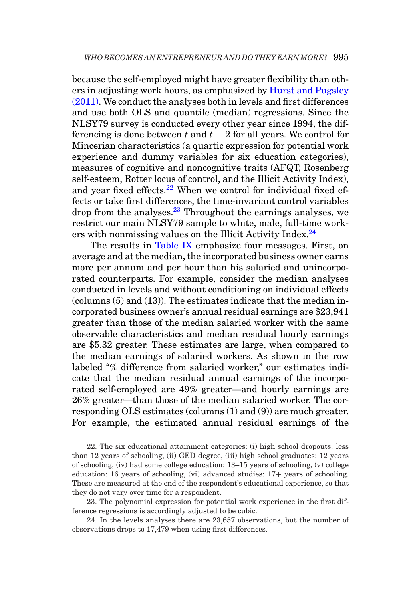because the self-employed might have greater flexibility than others in adjusting work hours, as emphasized by [Hurst and Pugsley](#page-54-5) [\(2011\).](#page-54-5) We conduct the analyses both in levels and first differences and use both OLS and quantile (median) regressions. Since the NLSY79 survey is conducted every other year since 1994, the differencing is done between *t* and *t* − 2 for all years. We control for Mincerian characteristics (a quartic expression for potential work experience and dummy variables for six education categories), measures of cognitive and noncognitive traits (AFQT, Rosenberg self-esteem, Rotter locus of control, and the Illicit Activity Index), and year fixed effects.<sup>[22](#page-32-0)</sup> When we control for individual fixed effects or take first differences, the time-invariant control variables drop from the analyses. $^{23}$  $^{23}$  $^{23}$  Throughout the earnings analyses, we restrict our main NLSY79 sample to white, male, full-time workers with nonmissing values on the Illicit Activity Index. $^{24}$ 

The results in [Table IX](#page-33-0) emphasize four messages. First, on average and at the median, the incorporated business owner earns more per annum and per hour than his salaried and unincorporated counterparts. For example, consider the median analyses conducted in levels and without conditioning on individual effects (columns (5) and (13)). The estimates indicate that the median incorporated business owner's annual residual earnings are \$23,941 greater than those of the median salaried worker with the same observable characteristics and median residual hourly earnings are \$5.32 greater. These estimates are large, when compared to the median earnings of salaried workers. As shown in the row labeled "% difference from salaried worker," our estimates indicate that the median residual annual earnings of the incorporated self-employed are 49% greater—and hourly earnings are 26% greater—than those of the median salaried worker. The corresponding OLS estimates (columns (1) and (9)) are much greater. For example, the estimated annual residual earnings of the

<span id="page-32-0"></span>22. The six educational attainment categories: (i) high school dropouts: less than 12 years of schooling, (ii) GED degree, (iii) high school graduates: 12 years of schooling, (iv) had some college education: 13–15 years of schooling, (v) college education: 16 years of schooling, (vi) advanced studies: 17+ years of schooling. These are measured at the end of the respondent's educational experience, so that they do not vary over time for a respondent.

<span id="page-32-1"></span>23. The polynomial expression for potential work experience in the first difference regressions is accordingly adjusted to be cubic.

<span id="page-32-2"></span>24. In the levels analyses there are 23,657 observations, but the number of observations drops to 17,479 when using first differences.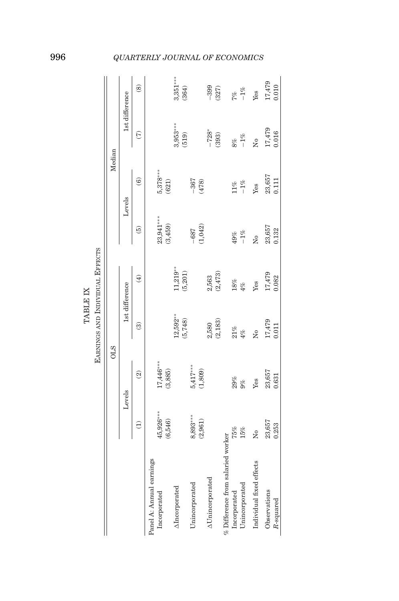|                                   |                 |                          | <b>EARNINGS AND INDIVIDUAL EFFECTS</b> |                |               |                        |                      |                |
|-----------------------------------|-----------------|--------------------------|----------------------------------------|----------------|---------------|------------------------|----------------------|----------------|
|                                   |                 | <b>OLS</b>               |                                        |                |               | Median                 |                      |                |
|                                   |                 | Levels                   |                                        | 1st difference | Levels        |                        |                      | 1st difference |
|                                   | $\widehat{\Xi}$ | $\widehat{\mathfrak{D}}$ | $\widehat{\mathbf{e}}$                 | $\bigoplus$    | $\widehat{e}$ | $\widehat{\mathbf{e}}$ | $\widehat{\epsilon}$ | $\circledast$  |
| Panel A: Annual earnings          |                 |                          |                                        |                |               |                        |                      |                |
| Incorporated                      | 45,926***       | 17,446***                |                                        |                | 23,941 ***    | $5,378***$             |                      |                |
|                                   | (6,546)         | (3,885)                  |                                        |                | (3,459)       | (621)                  |                      |                |
| AIncorporated                     |                 |                          | $12,592**$                             | $11,219**$     |               |                        | $3,953***$           | $3,351***$     |
|                                   |                 |                          | (5,748)                                | (5,201)        |               |                        | (519)                | (364)          |
| Unincorporated                    | 8,893***        | $5,417***$               |                                        |                | $-687$        | $-367$                 |                      |                |
|                                   | (2,961)         | (1, 809)                 |                                        |                | (1, 042)      | (478)                  |                      |                |
| <b>AUnincorporated</b>            |                 |                          | 2,580                                  | 2,563          |               |                        | $-728*$              | $-399$         |
|                                   |                 |                          | (2, 183)                               | (2, 473)       |               |                        | (393)                | (327)          |
| % Difference from salaried worker |                 |                          |                                        |                |               |                        |                      |                |
| Incorporated                      | 75%             | 29%                      | 21%                                    | $18\%$         | 49%           | $11\%$                 | 8%                   | 7%             |
| Unincorporated                    | 15%             | 9%                       | $4\%$                                  | 4%             | $-1\%$        | $-1\%$                 | $-1\%$               | $-1\%$         |
| Individual fixed effects          | Σó              | Yes                      | Σó                                     | Yes            | ż             | Yes                    | ż                    | Yes            |
| Observations                      | 23,657          | 23,657                   | 17,479                                 | 17,479         | 23,657        | 23,657                 | 17,479<br>0.016      | 17,479         |
| R-squared                         | 0.253           | 0.631                    | 0.011                                  | 0.082          | 0.132         | 0.111                  |                      | 0.010          |

<span id="page-33-0"></span>TABLE IX TABLE IX

# 996 *QUARTERLY JOURNAL OF ECONOMICS*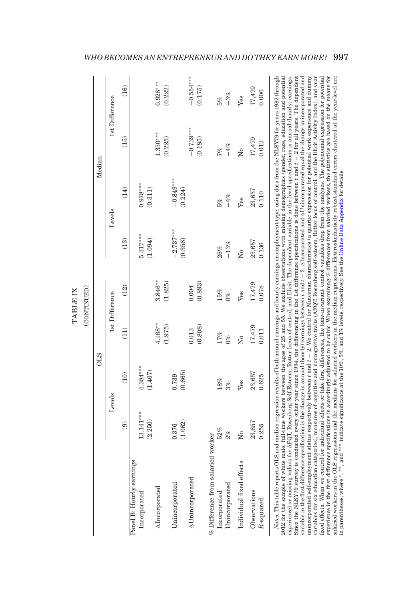|                                                                                                                                                                                                                                                                                                                                                                                                                                                                                                                                                                                                                                                                                                                                                                                                                                                                                                                                                                                                                                                                                                                                                                                                                                                                                                                                                                                                                                                                                                                                                                                                                                                                                                                                                                                                                                                                                                                                                                                                                                                               |                        |                       |                       | (CONTINUED)          |                        |                        |                        |                        |
|---------------------------------------------------------------------------------------------------------------------------------------------------------------------------------------------------------------------------------------------------------------------------------------------------------------------------------------------------------------------------------------------------------------------------------------------------------------------------------------------------------------------------------------------------------------------------------------------------------------------------------------------------------------------------------------------------------------------------------------------------------------------------------------------------------------------------------------------------------------------------------------------------------------------------------------------------------------------------------------------------------------------------------------------------------------------------------------------------------------------------------------------------------------------------------------------------------------------------------------------------------------------------------------------------------------------------------------------------------------------------------------------------------------------------------------------------------------------------------------------------------------------------------------------------------------------------------------------------------------------------------------------------------------------------------------------------------------------------------------------------------------------------------------------------------------------------------------------------------------------------------------------------------------------------------------------------------------------------------------------------------------------------------------------------------------|------------------------|-----------------------|-----------------------|----------------------|------------------------|------------------------|------------------------|------------------------|
|                                                                                                                                                                                                                                                                                                                                                                                                                                                                                                                                                                                                                                                                                                                                                                                                                                                                                                                                                                                                                                                                                                                                                                                                                                                                                                                                                                                                                                                                                                                                                                                                                                                                                                                                                                                                                                                                                                                                                                                                                                                               |                        | <b>OLS</b>            |                       |                      |                        |                        | Median                 |                        |
|                                                                                                                                                                                                                                                                                                                                                                                                                                                                                                                                                                                                                                                                                                                                                                                                                                                                                                                                                                                                                                                                                                                                                                                                                                                                                                                                                                                                                                                                                                                                                                                                                                                                                                                                                                                                                                                                                                                                                                                                                                                               |                        | Levels                |                       | 1st Difference       |                        | Levels                 |                        | 1st Difference         |
|                                                                                                                                                                                                                                                                                                                                                                                                                                                                                                                                                                                                                                                                                                                                                                                                                                                                                                                                                                                                                                                                                                                                                                                                                                                                                                                                                                                                                                                                                                                                                                                                                                                                                                                                                                                                                                                                                                                                                                                                                                                               | $\widehat{\mathbf{e}}$ | (10)                  | (11)                  | (12)                 | (13)                   | (14)                   | (15)                   | (16)                   |
| Panel B: Hourly earnings<br>Incorporated                                                                                                                                                                                                                                                                                                                                                                                                                                                                                                                                                                                                                                                                                                                                                                                                                                                                                                                                                                                                                                                                                                                                                                                                                                                                                                                                                                                                                                                                                                                                                                                                                                                                                                                                                                                                                                                                                                                                                                                                                      | $3.141***$<br>(2.250)  | $4.384***$<br>(1.407) |                       |                      | $5.317***$<br>(1.094)  | $0.978***$<br>(0.311)  |                        |                        |
| AIncorporated                                                                                                                                                                                                                                                                                                                                                                                                                                                                                                                                                                                                                                                                                                                                                                                                                                                                                                                                                                                                                                                                                                                                                                                                                                                                                                                                                                                                                                                                                                                                                                                                                                                                                                                                                                                                                                                                                                                                                                                                                                                 |                        |                       | $4.168***$<br>(1.975) | $3.846**$<br>(1.825) |                        |                        | $1.350***$<br>(0.225)  | $0.928***$<br>(0.222)  |
| Unincorporated                                                                                                                                                                                                                                                                                                                                                                                                                                                                                                                                                                                                                                                                                                                                                                                                                                                                                                                                                                                                                                                                                                                                                                                                                                                                                                                                                                                                                                                                                                                                                                                                                                                                                                                                                                                                                                                                                                                                                                                                                                                | (1.062)<br>0.376       | 0.665<br>0.739        |                       |                      | $-2.737***$<br>(0.356) | $-0.849***$<br>(0.224) |                        |                        |
| <b>AUnincorporated</b>                                                                                                                                                                                                                                                                                                                                                                                                                                                                                                                                                                                                                                                                                                                                                                                                                                                                                                                                                                                                                                                                                                                                                                                                                                                                                                                                                                                                                                                                                                                                                                                                                                                                                                                                                                                                                                                                                                                                                                                                                                        |                        |                       | (0.808)<br>0.013      | (0.893)<br>0.004     |                        |                        | $-0.739***$<br>(0.185) | $-0.554***$<br>(0.175) |
| % Difference from salaried worker<br>Unincorporated<br>Incorporated                                                                                                                                                                                                                                                                                                                                                                                                                                                                                                                                                                                                                                                                                                                                                                                                                                                                                                                                                                                                                                                                                                                                                                                                                                                                                                                                                                                                                                                                                                                                                                                                                                                                                                                                                                                                                                                                                                                                                                                           | 52%<br>2%              | $18\%$<br>3%          | 17%<br>$0\%$          | 15%<br>$0\%$         | $-13\%$<br>26%         | $-4\%$<br>5%           | $-4\%$<br>7%           | $-3%$<br>5%            |
| Individual fixed effects                                                                                                                                                                                                                                                                                                                                                                                                                                                                                                                                                                                                                                                                                                                                                                                                                                                                                                                                                                                                                                                                                                                                                                                                                                                                                                                                                                                                                                                                                                                                                                                                                                                                                                                                                                                                                                                                                                                                                                                                                                      | ż                      | Yes                   | ż                     | Yes                  | ż                      | Yes                    | ż                      | Yes                    |
| Observations<br>R-squared                                                                                                                                                                                                                                                                                                                                                                                                                                                                                                                                                                                                                                                                                                                                                                                                                                                                                                                                                                                                                                                                                                                                                                                                                                                                                                                                                                                                                                                                                                                                                                                                                                                                                                                                                                                                                                                                                                                                                                                                                                     | 23,657<br>0.255        | 23,657<br>0.625       | 17,479<br>0.011       | 17,479<br>0.078      | 23,657<br>0.136        | 23,657<br>0.110        | 17,479<br>0.012        | 17,479<br>0.006        |
| variables for six education categories), measures of cognitive and noncognitive traits (AFQT, Rosenberg self-esteem, Rotter locus of control, and the Illicit Activity Index), and year<br>variable in the first difference specification is the change in annual (hourly) earnings between $t$ and $t-2$ . $\Delta$ Incorporated and $\Delta$ Unincorporated equal the change in incorporated and<br>unincorporated self-employment status respectively between t and t – 2. We control for Mincerian characteristics (a quartic expression for potential work experience and dummy<br>salaried workers in the OLS regressions and the medians for salaried workers in the median regressions. Heteroskedasticity robust standard errors clustered at the year-level are<br>2012 for the sample of white male, full-time workers between the ages of 25 and 55. We exclude observations with missing demographics (gender, race, education and potential<br>Since the NLSY79 survey is conducted every other year since 1994, the differencing in the 1st difference specifications is done between $t$ and $t-2$ for all years. The dependent<br>fixed effects. When we control for individual effects or take first differences, the time-invariant control variables drop from the analyses. The polynomial expression for potential<br>experience in the first difference specifications is accordingly adjusted to be cubic. When examining % differences from salaried workers, the statistics are based on the means for<br>Notes. This table reports OLS and median regression results of both amual earnings and hourly earnings on employment type, using data from the NLSY79 for years 1982 through<br>experience) or missing values for AFQT, Rosenberg Self-Esteem, Rotter locus of control, and Illicit. The dependent variable in the level specifications is annual (hourly) earnings.<br>in parentheses, where *, **, and *** indicate significance at the 10%, 5%, and 1% levels, respectively. See the Online Data Appendix for details. |                        |                       |                       |                      |                        |                        |                        |                        |

<span id="page-34-0"></span>TABLE IX TABLE IX

*WHO BECOMES AN ENTREPRENEUR AND DO THEY EARN MORE?* 997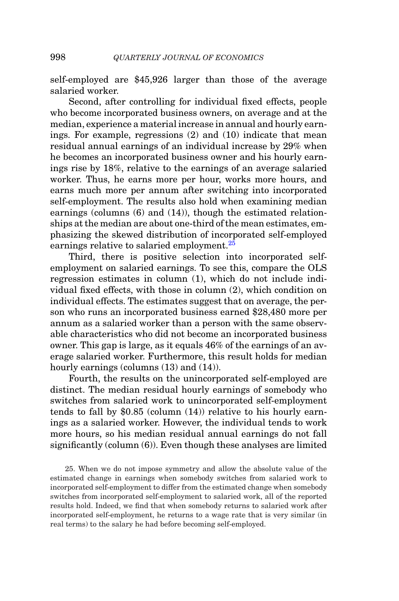self-employed are \$45,926 larger than those of the average salaried worker.

Second, after controlling for individual fixed effects, people who become incorporated business owners, on average and at the median, experience a material increase in annual and hourly earnings. For example, regressions (2) and (10) indicate that mean residual annual earnings of an individual increase by 29% when he becomes an incorporated business owner and his hourly earnings rise by 18%, relative to the earnings of an average salaried worker. Thus, he earns more per hour, works more hours, and earns much more per annum after switching into incorporated self-employment. The results also hold when examining median earnings (columns (6) and (14)), though the estimated relationships at the median are about one-third of the mean estimates, emphasizing the skewed distribution of incorporated self-employed earnings relative to salaried employment.<sup>[25](#page-35-0)</sup>

Third, there is positive selection into incorporated selfemployment on salaried earnings. To see this, compare the OLS regression estimates in column (1), which do not include individual fixed effects, with those in column (2), which condition on individual effects. The estimates suggest that on average, the person who runs an incorporated business earned \$28,480 more per annum as a salaried worker than a person with the same observable characteristics who did not become an incorporated business owner. This gap is large, as it equals 46% of the earnings of an average salaried worker. Furthermore, this result holds for median hourly earnings (columns  $(13)$  and  $(14)$ ).

Fourth, the results on the unincorporated self-employed are distinct. The median residual hourly earnings of somebody who switches from salaried work to unincorporated self-employment tends to fall by \$0.85 (column (14)) relative to his hourly earnings as a salaried worker. However, the individual tends to work more hours, so his median residual annual earnings do not fall significantly (column (6)). Even though these analyses are limited

<span id="page-35-0"></span>25. When we do not impose symmetry and allow the absolute value of the estimated change in earnings when somebody switches from salaried work to incorporated self-employment to differ from the estimated change when somebody switches from incorporated self-employment to salaried work, all of the reported results hold. Indeed, we find that when somebody returns to salaried work after incorporated self-employment, he returns to a wage rate that is very similar (in real terms) to the salary he had before becoming self-employed.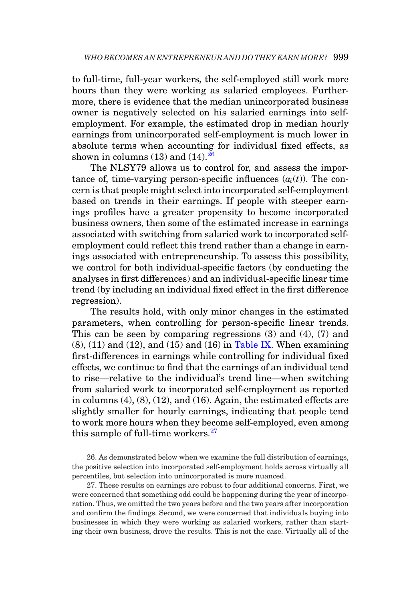to full-time, full-year workers, the self-employed still work more hours than they were working as salaried employees. Furthermore, there is evidence that the median unincorporated business owner is negatively selected on his salaried earnings into selfemployment. For example, the estimated drop in median hourly earnings from unincorporated self-employment is much lower in absolute terms when accounting for individual fixed effects, as shown in columns  $(13)$  and  $(14)$ .  $26$ 

The NLSY79 allows us to control for, and assess the importance of, time-varying person-specific influences  $(a<sub>i</sub>(t))$ . The concern is that people might select into incorporated self-employment based on trends in their earnings. If people with steeper earnings profiles have a greater propensity to become incorporated business owners, then some of the estimated increase in earnings associated with switching from salaried work to incorporated selfemployment could reflect this trend rather than a change in earnings associated with entrepreneurship. To assess this possibility, we control for both individual-specific factors (by conducting the analyses in first differences) and an individual-specific linear time trend (by including an individual fixed effect in the first difference regression).

The results hold, with only minor changes in the estimated parameters, when controlling for person-specific linear trends. This can be seen by comparing regressions (3) and (4), (7) and  $(8)$ ,  $(11)$  and  $(12)$ , and  $(15)$  and  $(16)$  in [Table IX.](#page-33-0) When examining first-differences in earnings while controlling for individual fixed effects, we continue to find that the earnings of an individual tend to rise—relative to the individual's trend line—when switching from salaried work to incorporated self-employment as reported in columns (4), (8), (12), and (16). Again, the estimated effects are slightly smaller for hourly earnings, indicating that people tend to work more hours when they become self-employed, even among this sample of full-time workers. $27$ 

<span id="page-36-0"></span>26. As demonstrated below when we examine the full distribution of earnings, the positive selection into incorporated self-employment holds across virtually all percentiles, but selection into unincorporated is more nuanced.

<span id="page-36-1"></span>27. These results on earnings are robust to four additional concerns. First, we were concerned that something odd could be happening during the year of incorporation. Thus, we omitted the two years before and the two years after incorporation and confirm the findings. Second, we were concerned that individuals buying into businesses in which they were working as salaried workers, rather than starting their own business, drove the results. This is not the case. Virtually all of the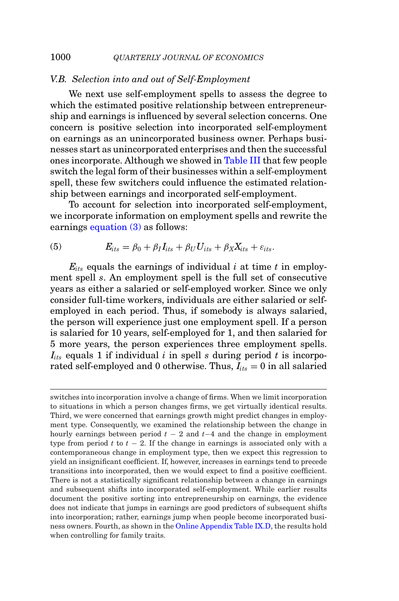## *V.B. Selection into and out of Self-Employment*

We next use self-employment spells to assess the degree to which the estimated positive relationship between entrepreneurship and earnings is influenced by several selection concerns. One concern is positive selection into incorporated self-employment on earnings as an unincorporated business owner. Perhaps businesses start as unincorporated enterprises and then the successful ones incorporate. Although we showed in [Table III](#page-15-0) that few people switch the legal form of their businesses within a self-employment spell, these few switchers could influence the estimated relationship between earnings and incorporated self-employment.

To account for selection into incorporated self-employment, we incorporate information on employment spells and rewrite the earnings [equation \(3\)](#page-31-0) as follows:

(5) 
$$
E_{its} = \beta_0 + \beta_I I_{its} + \beta_U U_{its} + \beta_X X_{its} + \varepsilon_{its}.
$$

 $E_{its}$  equals the earnings of individual  $i$  at time  $t$  in employment spell *s*. An employment spell is the full set of consecutive years as either a salaried or self-employed worker. Since we only consider full-time workers, individuals are either salaried or selfemployed in each period. Thus, if somebody is always salaried, the person will experience just one employment spell. If a person is salaried for 10 years, self-employed for 1, and then salaried for 5 more years, the person experiences three employment spells.  $I_{its}$  equals 1 if individual *i* in spell *s* during period *t* is incorporated self-employed and 0 otherwise. Thus,  $I_{its} = 0$  in all salaried

switches into incorporation involve a change of firms. When we limit incorporation to situations in which a person changes firms, we get virtually identical results. Third, we were concerned that earnings growth might predict changes in employment type. Consequently, we examined the relationship between the change in hourly earnings between period *t* − 2 and *t*−4 and the change in employment type from period  $t$  to  $t - 2$ . If the change in earnings is associated only with a contemporaneous change in employment type, then we expect this regression to yield an insignificant coefficient. If, however, increases in earnings tend to precede transitions into incorporated, then we would expect to find a positive coefficient. There is not a statistically significant relationship between a change in earnings and subsequent shifts into incorporated self-employment. While earlier results document the positive sorting into entrepreneurship on earnings, the evidence does not indicate that jumps in earnings are good predictors of subsequent shifts into incorporation; rather, earnings jump when people become incorporated business owners. Fourth, as shown in the [Online Appendix Table IX.D,](https://academic.oup.com/qje) the results hold when controlling for family traits.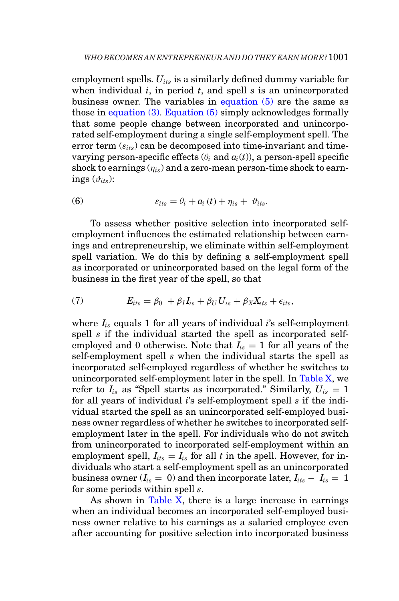employment spells. *Uits* is a similarly defined dummy variable for when individual *i*, in period *t*, and spell *s* is an unincorporated business owner. The variables in equation (5) are the same as those in [equation \(3\).](#page-31-0) Equation (5) simply acknowledges formally that some people change between incorporated and unincorporated self-employment during a single self-employment spell. The error term  $(\varepsilon_{its})$  can be decomposed into time-invariant and timevarying person-specific effects  $(\theta_i \text{ and } a_i(t))$ , a person-spell specific shock to earnings  $(\eta_{is})$  and a zero-mean person-time shock to earnings  $(\vartheta_{its})$ :

(6) 
$$
\varepsilon_{its} = \theta_i + a_i(t) + \eta_{is} + \vartheta_{its}.
$$

To assess whether positive selection into incorporated selfemployment influences the estimated relationship between earnings and entrepreneurship, we eliminate within self-employment spell variation. We do this by defining a self-employment spell as incorporated or unincorporated based on the legal form of the business in the first year of the spell, so that

<span id="page-38-0"></span>(7) 
$$
E_{its} = \beta_0 + \beta_I I_{is} + \beta_U U_{is} + \beta_X X_{its} + \epsilon_{its},
$$

where *Iis* equals 1 for all years of individual *i*'s self-employment spell *s* if the individual started the spell as incorporated selfemployed and 0 otherwise. Note that  $I_{is} = 1$  for all years of the self-employment spell *s* when the individual starts the spell as incorporated self-employed regardless of whether he switches to unincorporated self-employment later in the spell. In [Table X,](#page-39-0) we refer to  $I_{is}$  as "Spell starts as incorporated." Similarly,  $U_{is} = 1$ for all years of individual *i*'s self-employment spell *s* if the individual started the spell as an unincorporated self-employed business owner regardless of whether he switches to incorporated selfemployment later in the spell. For individuals who do not switch from unincorporated to incorporated self-employment within an employment spell,  $I_{its} = I_{is}$  for all *t* in the spell. However, for individuals who start a self-employment spell as an unincorporated business owner  $(I_{is} = 0)$  and then incorporate later,  $I_{its} - I_{is} = 1$ for some periods within spell *s*.

As shown in [Table X,](#page-39-0) there is a large increase in earnings when an individual becomes an incorporated self-employed business owner relative to his earnings as a salaried employee even after accounting for positive selection into incorporated business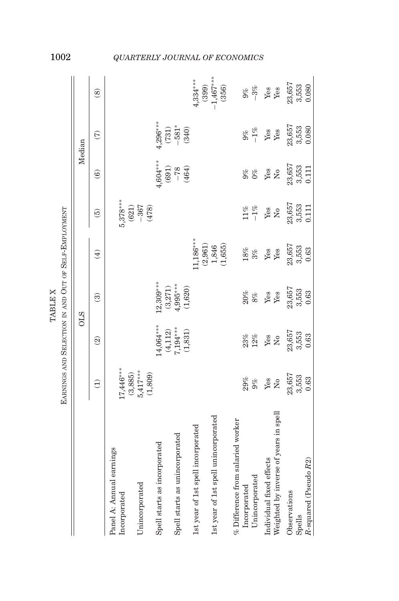<span id="page-39-0"></span>

|                                                                   |                                          |                                    | <b>TABLE X</b>                   |                                                      |                          |                         |                               |                      |
|-------------------------------------------------------------------|------------------------------------------|------------------------------------|----------------------------------|------------------------------------------------------|--------------------------|-------------------------|-------------------------------|----------------------|
|                                                                   |                                          |                                    |                                  | EARNINGS AND SELECTION IN AND OUT OF SELF-EMPLOYMENT |                          |                         |                               |                      |
|                                                                   |                                          |                                    | <b>OLS</b>                       |                                                      |                          |                         | Median                        |                      |
|                                                                   | $\widehat{\ominus}$                      | $\widehat{S}$                      | $\widehat{\mathcal{E}}$          | $\bigoplus$                                          | $\widehat{5}$            | $\widehat{\mathbf{e}}$  | $\widehat{C}$                 | $\circledS$          |
| Panel A: Annual earnings<br>Incorporated                          | $17,446***$                              |                                    |                                  |                                                      | $5,378***$               |                         |                               |                      |
| Unincorporated                                                    | $(3,885)$<br>$5,417***$<br>(1,809)       |                                    |                                  |                                                      | $-367$<br>(621)<br>(478) |                         |                               |                      |
| Spell starts as incorporated                                      |                                          | $14,064***$                        | $2,309***$                       |                                                      |                          | $4,604***$              | $4,296***$                    |                      |
| Spell starts as unincorporated                                    |                                          | $7,194***$<br>(4, 112)<br>(1, 831) | $4,995***$<br>(3,271)<br>(1,620) |                                                      |                          | (691)<br>(464)<br>$-78$ | $-581*$<br>(731)<br>(340)     |                      |
| 1st year of 1st spell incorporated                                |                                          |                                    |                                  | $11,186***$<br>(2,961)                               |                          |                         |                               | $4,334***$<br>(399)  |
| 1st year of 1st spell unincorporated                              |                                          |                                    |                                  | (1,655)<br>1,846                                     |                          |                         |                               | $-1,467***$<br>(356) |
| $%$ Difference from salaried worker                               |                                          |                                    |                                  |                                                      |                          |                         |                               |                      |
| Unincorporated<br>Incorporated                                    | 29%<br>$9\%$                             | 23%<br>$12\%$                      | 20%<br>$8\%$                     | $18\%$<br>3%                                         | $-1\%$<br>$11\%$         | $9\%$<br>$0\%$          | $-1\%$<br>$9\%$               | $-3\%$<br>9%         |
| Weighted by inverse of years in spell<br>Individual fixed effects | Yes<br>$\rm \stackrel{\circ}{\rm \bf Z}$ | Yes<br>$\tilde{z}$                 | Yes<br>Yes                       | Yes<br>Yes                                           | Yes<br>$\tilde{Z}$       | Yes<br>$\tilde{z}$      | ${\it Yes}$<br>$\mathbf{Yes}$ | Yes<br>Yes           |
| Observations                                                      | 23,657                                   | 23,657                             | 23,657                           | 23,657                                               | $23,657$<br>$3,553$      | 23,657                  | 23,657                        | 23,657               |
| R-squared (Pseudo R2)<br>Spells                                   | 3,553<br>0.63                            | 3,553<br>0.63                      | 3,553<br>0.63                    | 3,553<br>0.63                                        | 0.111                    | 3,553<br>0.111          | 3,553<br>0.080                | 3,553<br>0.080       |

# 1002 *QUARTERLY JOURNAL OF ECONOMICS*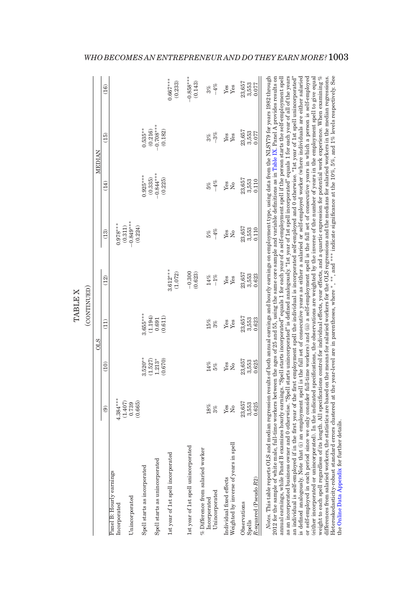|                                                                                                                                                                                                                                                                                                                                                                                                                                                                                                                                                                                                                                                                                                                                                                                                                                                                                                                                                                                                                                                                                                                                                                                                                                                                                                                                                                                                                                                                                                                                |                                    |                       | (CONTINUED)          |                       |                        |                                     |                        |                        |
|--------------------------------------------------------------------------------------------------------------------------------------------------------------------------------------------------------------------------------------------------------------------------------------------------------------------------------------------------------------------------------------------------------------------------------------------------------------------------------------------------------------------------------------------------------------------------------------------------------------------------------------------------------------------------------------------------------------------------------------------------------------------------------------------------------------------------------------------------------------------------------------------------------------------------------------------------------------------------------------------------------------------------------------------------------------------------------------------------------------------------------------------------------------------------------------------------------------------------------------------------------------------------------------------------------------------------------------------------------------------------------------------------------------------------------------------------------------------------------------------------------------------------------|------------------------------------|-----------------------|----------------------|-----------------------|------------------------|-------------------------------------|------------------------|------------------------|
|                                                                                                                                                                                                                                                                                                                                                                                                                                                                                                                                                                                                                                                                                                                                                                                                                                                                                                                                                                                                                                                                                                                                                                                                                                                                                                                                                                                                                                                                                                                                |                                    |                       | <b>OLS</b>           |                       |                        |                                     | <b>MEDIAN</b>          |                        |
|                                                                                                                                                                                                                                                                                                                                                                                                                                                                                                                                                                                                                                                                                                                                                                                                                                                                                                                                                                                                                                                                                                                                                                                                                                                                                                                                                                                                                                                                                                                                | $\widehat{e}$                      | (10)                  | $\frac{1}{1}$        | (12)                  | (13)                   | (14)                                | $\overline{15}$        | (16)                   |
| Panel B: Hourly earnings<br>Incorporated                                                                                                                                                                                                                                                                                                                                                                                                                                                                                                                                                                                                                                                                                                                                                                                                                                                                                                                                                                                                                                                                                                                                                                                                                                                                                                                                                                                                                                                                                       | $.384***$                          |                       |                      |                       | $0.978***$<br>(0.311)  |                                     |                        |                        |
| Unincorporated                                                                                                                                                                                                                                                                                                                                                                                                                                                                                                                                                                                                                                                                                                                                                                                                                                                                                                                                                                                                                                                                                                                                                                                                                                                                                                                                                                                                                                                                                                                 | $\frac{(1.407)}{0.739}$<br>(0.665) |                       |                      |                       | $-0.849***$<br>(0.224) |                                     |                        |                        |
| Spell starts as incorporated                                                                                                                                                                                                                                                                                                                                                                                                                                                                                                                                                                                                                                                                                                                                                                                                                                                                                                                                                                                                                                                                                                                                                                                                                                                                                                                                                                                                                                                                                                   |                                    | $3.520**$<br>(1.527)  | $.655***$<br>(1.194) |                       |                        | $0.925***$                          | $0.535***$<br>(0.216)  |                        |
| Spell starts as unincorporated                                                                                                                                                                                                                                                                                                                                                                                                                                                                                                                                                                                                                                                                                                                                                                                                                                                                                                                                                                                                                                                                                                                                                                                                                                                                                                                                                                                                                                                                                                 |                                    | $1.213*$<br>(0.670)   | (0.611)<br>0.691     |                       |                        | $(0.335)$<br>$-0.844***$<br>(0.225) | $-0.708***$<br>(0.182) |                        |
| 1st year of 1st spell incorporated                                                                                                                                                                                                                                                                                                                                                                                                                                                                                                                                                                                                                                                                                                                                                                                                                                                                                                                                                                                                                                                                                                                                                                                                                                                                                                                                                                                                                                                                                             |                                    |                       |                      | $3.612***$<br>(1.072) |                        |                                     |                        | $0.667***$<br>(0.233)  |
| 1st year of 1st spell unincorporated                                                                                                                                                                                                                                                                                                                                                                                                                                                                                                                                                                                                                                                                                                                                                                                                                                                                                                                                                                                                                                                                                                                                                                                                                                                                                                                                                                                                                                                                                           |                                    |                       |                      | $-0.300$<br>(0.623)   |                        |                                     |                        | $-0.858***$<br>(0.143) |
| % Difference from salaried worker<br>Unincorporated<br>Incorporated                                                                                                                                                                                                                                                                                                                                                                                                                                                                                                                                                                                                                                                                                                                                                                                                                                                                                                                                                                                                                                                                                                                                                                                                                                                                                                                                                                                                                                                            | 18%<br>3%                          | $14\%$<br>5%          | 15%<br>3%            | $-1\%$<br>$14\%$      | $-4%$<br>5%            | $-4%$<br>5%                         | $-3%$<br>3%            | $-4%$<br>3%            |
| Weighted by inverse of years in spell<br>Individual fixed effects                                                                                                                                                                                                                                                                                                                                                                                                                                                                                                                                                                                                                                                                                                                                                                                                                                                                                                                                                                                                                                                                                                                                                                                                                                                                                                                                                                                                                                                              | Yes<br>$\tilde{z}$                 | Yes<br>$\overline{N}$ | Yes<br>Yes           | Yes<br>Yes            | Yes<br>$\overline{N}$  | Yes<br>$\overline{R}$               | Yes<br>Yes             | Yes<br>Yes             |
| Observations                                                                                                                                                                                                                                                                                                                                                                                                                                                                                                                                                                                                                                                                                                                                                                                                                                                                                                                                                                                                                                                                                                                                                                                                                                                                                                                                                                                                                                                                                                                   | 23,657                             | 23,657                | 23,657               | 23,657                | 23,657                 | 23,657                              | 23,657                 | 23,657                 |
| $R$ -squared (Pseudo $R2$ )<br>Spells                                                                                                                                                                                                                                                                                                                                                                                                                                                                                                                                                                                                                                                                                                                                                                                                                                                                                                                                                                                                                                                                                                                                                                                                                                                                                                                                                                                                                                                                                          | 3,553<br>0.625                     | 3,553<br>0.625        | 3,553<br>0.623       | 3,553<br>0.623        | 3,553<br>0.110         | 3,553<br>0.110                      | 3,553<br>0.077         | 3,553<br>0.077         |
| as an incorporated business owner and 0 otherwise. "Spell starts unincorporated" is defined analogously, "Ist year of 1st spell incorporated" equals 1 for each year of all of the years<br>an individual is self-employed if in the first year of the first employment spell the individual is incorporated self-employed and 0 otherwise. "1st year of 1st spell unincorporated"<br>or self-employed in each period since we only consider full-time workers) and (ii) a self-employment spell is the full set of consecutive years in which a person is self-employed<br>(either incorporated or unincorporated). In the indicated specifications, the observations are weighted by the inverse of the number of years in the employment spell to give equal<br><i>Notes</i> . This table reports OLS and median regression results of both amual earnings and hourly earnings on employment type, using data from the NLSY79 for years 1982 through<br>is defined analogously. Note that (i) an employment spell is the full set of consecutive years as seither a salaried or self-employed worker (where individuals are either salaried<br>2012 for the sample of white male, full-time workers between the ages of 25 and 55, using the same core sample and variable definitions as in Table IX. Panel A provides results on<br>annual earnings, while Panel B examines hourly earnings. "Spell starts incorporated" equals 1 for each year of a self-employment spell if the person starts the self-employment spell |                                    |                       |                      |                       |                        |                                     |                        |                        |

(either incorporated or unincorporated). In the indicated specifications, the observations are weighted by the inverse of the number of years in the employment spell to give equal weight to each spell regardless of its length. All specifications control for individual effects, year effects, and a quartic expression for potential work experience. When examining % differences from salaried workers, the statistics are based on the means for salaried workers for the OLS regressions and the medians for salaried workers in the median regressions. Heteroskedasticity-robust standard errors clustered at the year-level are in parentheses, where ∗, ∗∗, and ∗∗∗ indicate significance at the 10%, 5%, and 1% levels respectively. See

weight to each spell regardless of its length. All specifications control for individual effects, year effects, and a quartic expression for potential work experience. When examining % differences from salaried workers, t

the Online Data [Appendix](https://academic.oup.com/qje) for further details.

<span id="page-40-0"></span>the Online Data Appendix for further details.

TABLE X

**TABLE X** 

### *WHO BECOMES AN ENTREPRENEUR AND DO THEY EARN MORE?*1003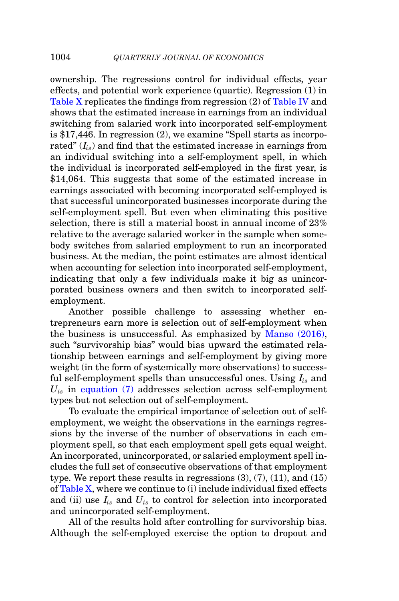ownership. The regressions control for individual effects, year effects, and potential work experience (quartic). Regression (1) in [Table X](#page-39-0) replicates the findings from regression (2) of [Table IV](#page-17-0) and shows that the estimated increase in earnings from an individual switching from salaried work into incorporated self-employment is \$17,446. In regression (2), we examine "Spell starts as incorporated"  $(I_{is})$  and find that the estimated increase in earnings from an individual switching into a self-employment spell, in which the individual is incorporated self-employed in the first year, is \$14,064. This suggests that some of the estimated increase in earnings associated with becoming incorporated self-employed is that successful unincorporated businesses incorporate during the self-employment spell. But even when eliminating this positive selection, there is still a material boost in annual income of 23% relative to the average salaried worker in the sample when somebody switches from salaried employment to run an incorporated business. At the median, the point estimates are almost identical when accounting for selection into incorporated self-employment, indicating that only a few individuals make it big as unincorporated business owners and then switch to incorporated selfemployment.

Another possible challenge to assessing whether entrepreneurs earn more is selection out of self-employment when the business is unsuccessful. As emphasized by [Manso \(2016\),](#page-54-20) such "survivorship bias" would bias upward the estimated relationship between earnings and self-employment by giving more weight (in the form of systemically more observations) to successful self-employment spells than unsuccessful ones. Using *Iis* and  $U_{is}$  in [equation \(7\)](#page-38-0) addresses selection across self-employment types but not selection out of self-employment.

To evaluate the empirical importance of selection out of selfemployment, we weight the observations in the earnings regressions by the inverse of the number of observations in each employment spell, so that each employment spell gets equal weight. An incorporated, unincorporated, or salaried employment spell includes the full set of consecutive observations of that employment type. We report these results in regressions  $(3)$ ,  $(7)$ ,  $(11)$ , and  $(15)$ of [Table X,](#page-39-0) where we continue to (i) include individual fixed effects and (ii) use *Iis* and *Uis* to control for selection into incorporated and unincorporated self-employment.

All of the results hold after controlling for survivorship bias. Although the self-employed exercise the option to dropout and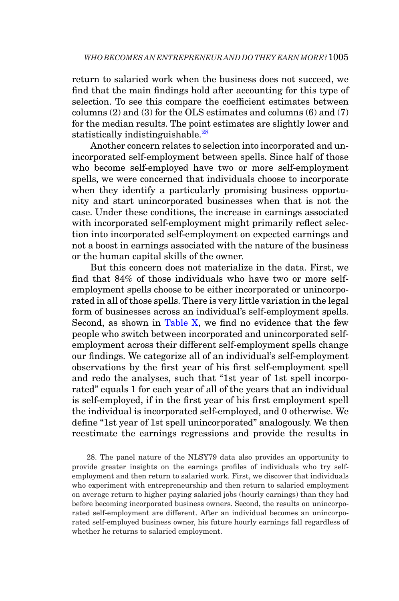return to salaried work when the business does not succeed, we find that the main findings hold after accounting for this type of selection. To see this compare the coefficient estimates between columns (2) and (3) for the OLS estimates and columns (6) and (7) for the median results. The point estimates are slightly lower and statistically indistinguishable.<sup>28</sup>

Another concern relates to selection into incorporated and unincorporated self-employment between spells. Since half of those who become self-employed have two or more self-employment spells, we were concerned that individuals choose to incorporate when they identify a particularly promising business opportunity and start unincorporated businesses when that is not the case. Under these conditions, the increase in earnings associated with incorporated self-employment might primarily reflect selection into incorporated self-employment on expected earnings and not a boost in earnings associated with the nature of the business or the human capital skills of the owner.

But this concern does not materialize in the data. First, we find that 84% of those individuals who have two or more selfemployment spells choose to be either incorporated or unincorporated in all of those spells. There is very little variation in the legal form of businesses across an individual's self-employment spells. Second, as shown in [Table X,](#page-39-0) we find no evidence that the few people who switch between incorporated and unincorporated selfemployment across their different self-employment spells change our findings. We categorize all of an individual's self-employment observations by the first year of his first self-employment spell and redo the analyses, such that "1st year of 1st spell incorporated" equals 1 for each year of all of the years that an individual is self-employed, if in the first year of his first employment spell the individual is incorporated self-employed, and 0 otherwise. We define "1st year of 1st spell unincorporated" analogously. We then reestimate the earnings regressions and provide the results in

<span id="page-42-0"></span>28. The panel nature of the NLSY79 data also provides an opportunity to provide greater insights on the earnings profiles of individuals who try selfemployment and then return to salaried work. First, we discover that individuals who experiment with entrepreneurship and then return to salaried employment on average return to higher paying salaried jobs (hourly earnings) than they had before becoming incorporated business owners. Second, the results on unincorporated self-employment are different. After an individual becomes an unincorporated self-employed business owner, his future hourly earnings fall regardless of whether he returns to salaried employment.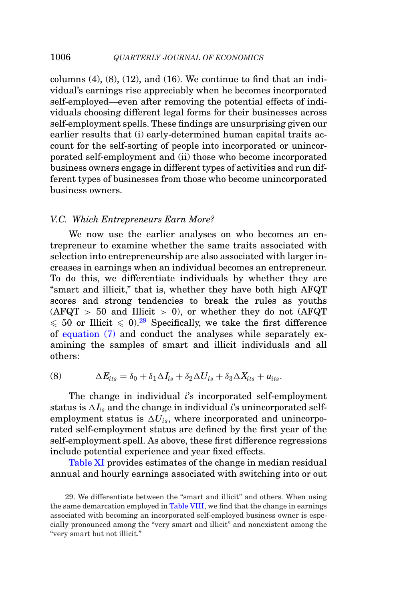columns  $(4)$ ,  $(8)$ ,  $(12)$ , and  $(16)$ . We continue to find that an individual's earnings rise appreciably when he becomes incorporated self-employed—even after removing the potential effects of individuals choosing different legal forms for their businesses across self-employment spells. These findings are unsurprising given our earlier results that (i) early-determined human capital traits account for the self-sorting of people into incorporated or unincorporated self-employment and (ii) those who become incorporated business owners engage in different types of activities and run different types of businesses from those who become unincorporated business owners.

#### *V.C. Which Entrepreneurs Earn More?*

We now use the earlier analyses on who becomes an entrepreneur to examine whether the same traits associated with selection into entrepreneurship are also associated with larger increases in earnings when an individual becomes an entrepreneur. To do this, we differentiate individuals by whether they are "smart and illicit," that is, whether they have both high AFQT scores and strong tendencies to break the rules as youths  $(AFQT > 50$  and Illicit  $> 0$ ), or whether they do not  $(AFQT)$  $\leqslant$  50 or Illicit  $\leqslant$  0).<sup>[29](#page-43-0)</sup> Specifically, we take the first difference of [equation \(7\)](#page-38-0) and conduct the analyses while separately examining the samples of smart and illicit individuals and all others:

(8) 
$$
\Delta E_{its} = \delta_0 + \delta_1 \Delta I_{is} + \delta_2 \Delta U_{is} + \delta_3 \Delta X_{its} + u_{its}.
$$

The change in individual *i*'s incorporated self-employment status is  $\Delta I_{is}$  and the change in individual *i*'s unincorporated selfemployment status is  $\Delta U_{is}$ , where incorporated and unincorporated self-employment status are defined by the first year of the self-employment spell. As above, these first difference regressions include potential experience and year fixed effects.

[Table XI](#page-44-0) provides estimates of the change in median residual annual and hourly earnings associated with switching into or out

<span id="page-43-0"></span><sup>29.</sup> We differentiate between the "smart and illicit" and others. When using the same demarcation employed in [Table VIII,](#page-29-0) we find that the change in earnings associated with becoming an incorporated self-employed business owner is especially pronounced among the "very smart and illicit" and nonexistent among the "very smart but not illicit."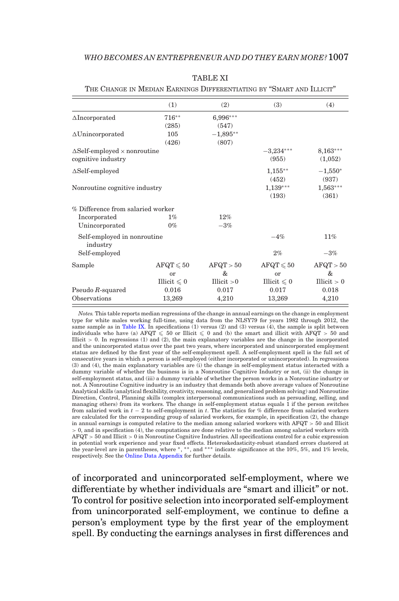|                                            | (1)                 | (2)         | (3)                 | (4)           |
|--------------------------------------------|---------------------|-------------|---------------------|---------------|
| $\triangle$ Incorporated                   | $716**$             | 6,996***    |                     |               |
|                                            | (285)               | (547)       |                     |               |
| $\Delta$ Unincorporated                    | 105                 | $-1,895**$  |                     |               |
|                                            | (426)               | (807)       |                     |               |
| $\Delta$ Self-employed $\times$ nonroutine |                     |             | $-3,234***$         | $8,163***$    |
| cognitive industry                         |                     |             | (955)               | (1,052)       |
| $\Delta$ Self-employed                     |                     |             | $1,155***$          | $-1,550*$     |
|                                            |                     |             | (452)               | (937)         |
| Nonroutine cognitive industry              |                     |             | $1,139***$          | $1,563***$    |
|                                            |                     |             | (193)               | (361)         |
| % Difference from salaried worker          |                     |             |                     |               |
| Incorporated                               | $1\%$               | 12%         |                     |               |
| Unincorporated                             | $0\%$               | $-3%$       |                     |               |
| Self-employed in nonroutine<br>industry    |                     |             | $-4%$               | 11%           |
| Self-employed                              |                     |             | 2%                  | $-3%$         |
| Sample                                     | $AFQT \leqslant 50$ | AFQT > 50   | $AFQT \leqslant 50$ | AFQT > 50     |
|                                            | or                  | &           | or                  | &             |
|                                            | Illicit $\leq 0$    | Illicit > 0 | Illicit $\leq 0$    | Illicit $> 0$ |
| Pseudo $R$ -squared                        | 0.016               | 0.017       | 0.017               | 0.018         |
| Observations                               | 13,269              | 4,210       | 13,269              | 4,210         |

TABLE XI

<span id="page-44-0"></span>THE CHANGE IN MEDIAN EARNINGS DIFFERENTIATING BY "SMART AND ILLICIT"

*Notes.* This table reports median regressions of the change in annual earnings on the change in employment type for white males working full-time, using data from the NLSY79 for years 1982 through 2012, the same sample as in [Table IX.](#page-33-0) In specifications  $(1)$  versus  $(2)$  and  $(3)$  versus  $(4)$ , the sample is split between individuals who have (a)  $\text{AFQT} \leqslant 50$  or Illicit  $\leqslant 0$  and (b) the smart and illicit with  $\text{AFQT} > 50$  and Illicit  $> 0$ . In regressions (1) and (2), the main explanatory variables are the change in the incorporated and the unincorporated status over the past two years, where incorporated and unincorporated employment status are defined by the first year of the self-employment spell. A self-employment spell is the full set of consecutive years in which a person is self-employed (either incorporated or unincorporated). In regressions (3) and (4), the main explanatory variables are (i) the change in self-employment status interacted with a dummy variable of whether the business is in a Nonroutine Cognitive Industry or not, (ii) the change in self-employment status, and (iii) a dummy variable of whether the person works in a Nonroutine industry or not. A Nonroutine Cognitive industry is an industry that demands both above average values of Nonroutine Analytical skills (analytical flexibility, creativity, reasoning, and generalized problem solving) and Nonroutine Direction, Control, Planning skills (complex interpersonal communications such as persuading, selling, and managing others) from its workers. The change in self-employment status equals 1 if the person switches from salaried work in *t* − 2 to self-employment in *t*. The statistics for % difference from salaried workers are calculated for the corresponding group of salaried workers, for example, in specification (2), the change in annual earnings is computed relative to the median among salaried workers with AFQT > 50 and Illicit > 0, and in specification (4), the computations are done relative to the median among salaried workers with AFQT > 50 and Illicit > 0 in Nonroutine Cognitive Industries. All specifications control for a cubic expression in potential work experience and year fixed effects. Heteroskedasticity-robust standard errors clustered at the year-level are in parentheses, where ∗, ∗∗, and ∗∗∗ indicate significance at the 10%, 5%, and 1% levels, respectively. See the [Online Data Appendix](https://academic.oup.com/qje) for further details.

of incorporated and unincorporated self-employment, where we differentiate by whether individuals are "smart and illicit" or not. To control for positive selection into incorporated self-employment from unincorporated self-employment, we continue to define a person's employment type by the first year of the employment spell. By conducting the earnings analyses in first differences and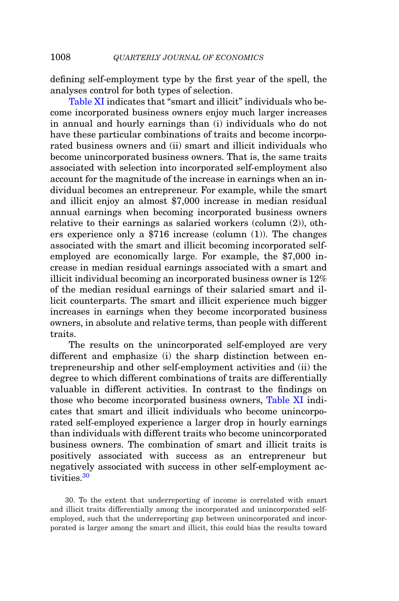defining self-employment type by the first year of the spell, the analyses control for both types of selection.

[Table XI](#page-44-0) indicates that "smart and illicit" individuals who become incorporated business owners enjoy much larger increases in annual and hourly earnings than (i) individuals who do not have these particular combinations of traits and become incorporated business owners and (ii) smart and illicit individuals who become unincorporated business owners. That is, the same traits associated with selection into incorporated self-employment also account for the magnitude of the increase in earnings when an individual becomes an entrepreneur. For example, while the smart and illicit enjoy an almost \$7,000 increase in median residual annual earnings when becoming incorporated business owners relative to their earnings as salaried workers (column (2)), others experience only a \$716 increase (column (1)). The changes associated with the smart and illicit becoming incorporated selfemployed are economically large. For example, the \$7,000 increase in median residual earnings associated with a smart and illicit individual becoming an incorporated business owner is 12% of the median residual earnings of their salaried smart and illicit counterparts. The smart and illicit experience much bigger increases in earnings when they become incorporated business owners, in absolute and relative terms, than people with different traits.

The results on the unincorporated self-employed are very different and emphasize (i) the sharp distinction between entrepreneurship and other self-employment activities and (ii) the degree to which different combinations of traits are differentially valuable in different activities. In contrast to the findings on those who become incorporated business owners, [Table XI](#page-44-0) indicates that smart and illicit individuals who become unincorporated self-employed experience a larger drop in hourly earnings than individuals with different traits who become unincorporated business owners. The combination of smart and illicit traits is positively associated with success as an entrepreneur but negatively associated with success in other self-employment activities.[30](#page-45-0)

<span id="page-45-0"></span>30. To the extent that underreporting of income is correlated with smart and illicit traits differentially among the incorporated and unincorporated selfemployed, such that the underreporting gap between unincorporated and incorporated is larger among the smart and illicit, this could bias the results toward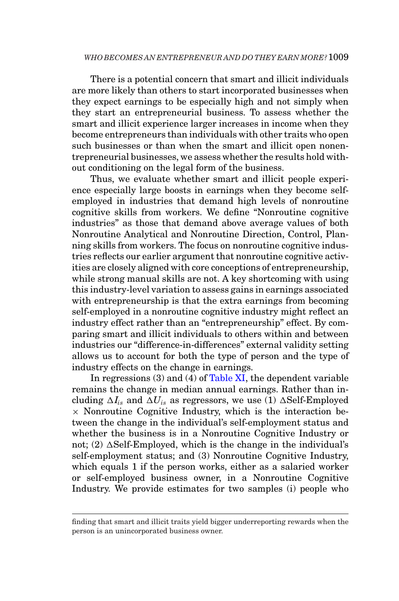There is a potential concern that smart and illicit individuals are more likely than others to start incorporated businesses when they expect earnings to be especially high and not simply when they start an entrepreneurial business. To assess whether the smart and illicit experience larger increases in income when they become entrepreneurs than individuals with other traits who open such businesses or than when the smart and illicit open nonentrepreneurial businesses, we assess whether the results hold without conditioning on the legal form of the business.

Thus, we evaluate whether smart and illicit people experience especially large boosts in earnings when they become selfemployed in industries that demand high levels of nonroutine cognitive skills from workers. We define "Nonroutine cognitive industries" as those that demand above average values of both Nonroutine Analytical and Nonroutine Direction, Control, Planning skills from workers. The focus on nonroutine cognitive industries reflects our earlier argument that nonroutine cognitive activities are closely aligned with core conceptions of entrepreneurship, while strong manual skills are not. A key shortcoming with using this industry-level variation to assess gains in earnings associated with entrepreneurship is that the extra earnings from becoming self-employed in a nonroutine cognitive industry might reflect an industry effect rather than an "entrepreneurship" effect. By comparing smart and illicit individuals to others within and between industries our "difference-in-differences" external validity setting allows us to account for both the type of person and the type of industry effects on the change in earnings.

In regressions (3) and (4) of [Table XI,](#page-44-0) the dependent variable remains the change in median annual earnings. Rather than including  $\Delta I_{is}$  and  $\Delta U_{is}$  as regressors, we use (1)  $\Delta$ Self-Employed  $\times$  Nonroutine Cognitive Industry, which is the interaction between the change in the individual's self-employment status and whether the business is in a Nonroutine Cognitive Industry or not; (2)  $\Delta$ Self-Employed, which is the change in the individual's self-employment status; and (3) Nonroutine Cognitive Industry, which equals 1 if the person works, either as a salaried worker or self-employed business owner, in a Nonroutine Cognitive Industry. We provide estimates for two samples (i) people who

finding that smart and illicit traits yield bigger underreporting rewards when the person is an unincorporated business owner.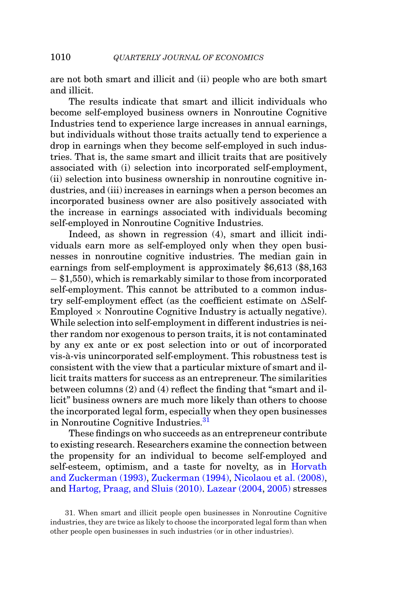are not both smart and illicit and (ii) people who are both smart and illicit.

The results indicate that smart and illicit individuals who become self-employed business owners in Nonroutine Cognitive Industries tend to experience large increases in annual earnings, but individuals without those traits actually tend to experience a drop in earnings when they become self-employed in such industries. That is, the same smart and illicit traits that are positively associated with (i) selection into incorporated self-employment, (ii) selection into business ownership in nonroutine cognitive industries, and (iii) increases in earnings when a person becomes an incorporated business owner are also positively associated with the increase in earnings associated with individuals becoming self-employed in Nonroutine Cognitive Industries.

Indeed, as shown in regression (4), smart and illicit individuals earn more as self-employed only when they open businesses in nonroutine cognitive industries. The median gain in earnings from self-employment is approximately \$6,613 (\$8,163 − \$1,550), which is remarkably similar to those from incorporated self-employment. This cannot be attributed to a common industry self-employment effect (as the coefficient estimate on  $\Delta$ Self-Employed  $\times$  Nonroutine Cognitive Industry is actually negative). While selection into self-employment in different industries is neither random nor exogenous to person traits, it is not contaminated by any ex ante or ex post selection into or out of incorporated vis-a-vis unincorporated self-employment. This robustness test is ` consistent with the view that a particular mixture of smart and illicit traits matters for success as an entrepreneur. The similarities between columns (2) and (4) reflect the finding that "smart and illicit" business owners are much more likely than others to choose the incorporated legal form, especially when they open businesses in Nonroutine Cognitive Industries[.31](#page-47-0)

These findings on who succeeds as an entrepreneur contribute to existing research. Researchers examine the connection between the propensity for an individual to become self-employed and self-esteem, optimism, and a taste for novelty, as in [Horvath](#page-54-16) [and Zuckerman \(1993\),](#page-54-16) [Zuckerman \(1994\),](#page-55-3) [Nicolaou et al. \(2008\),](#page-54-17) and [Hartog, Praag, and Sluis \(2010\).](#page-53-20) [Lazear \(2004,](#page-54-21) [2005\)](#page-54-22) stresses

<span id="page-47-0"></span>31. When smart and illicit people open businesses in Nonroutine Cognitive industries, they are twice as likely to choose the incorporated legal form than when other people open businesses in such industries (or in other industries).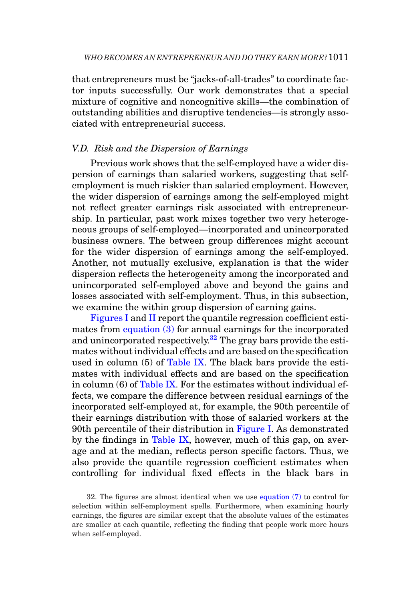that entrepreneurs must be "jacks-of-all-trades" to coordinate factor inputs successfully. Our work demonstrates that a special mixture of cognitive and noncognitive skills—the combination of outstanding abilities and disruptive tendencies—is strongly associated with entrepreneurial success.

## *V.D. Risk and the Dispersion of Earnings*

Previous work shows that the self-employed have a wider dispersion of earnings than salaried workers, suggesting that selfemployment is much riskier than salaried employment. However, the wider dispersion of earnings among the self-employed might not reflect greater earnings risk associated with entrepreneurship. In particular, past work mixes together two very heterogeneous groups of self-employed—incorporated and unincorporated business owners. The between group differences might account for the wider dispersion of earnings among the self-employed. Another, not mutually exclusive, explanation is that the wider dispersion reflects the heterogeneity among the incorporated and unincorporated self-employed above and beyond the gains and losses associated with self-employment. Thus, in this subsection, we examine the within group dispersion of earning gains.

[Figures I](#page-49-0) and [II](#page-50-0) report the quantile regression coefficient estimates from [equation \(3\)](#page-31-0) for annual earnings for the incorporated and unincorporated respectively[.32](#page-48-0) The gray bars provide the estimates without individual effects and are based on the specification used in column  $(5)$  of [Table IX.](#page-33-0) The black bars provide the estimates with individual effects and are based on the specification in column (6) of [Table IX.](#page-33-0) For the estimates without individual effects, we compare the difference between residual earnings of the incorporated self-employed at, for example, the 90th percentile of their earnings distribution with those of salaried workers at the 90th percentile of their distribution in [Figure I.](#page-49-0) As demonstrated by the findings in [Table IX,](#page-33-0) however, much of this gap, on average and at the median, reflects person specific factors. Thus, we also provide the quantile regression coefficient estimates when controlling for individual fixed effects in the black bars in

<span id="page-48-0"></span>32. The figures are almost identical when we use [equation \(7\)](#page-38-0) to control for selection within self-employment spells. Furthermore, when examining hourly earnings, the figures are similar except that the absolute values of the estimates are smaller at each quantile, reflecting the finding that people work more hours when self-employed.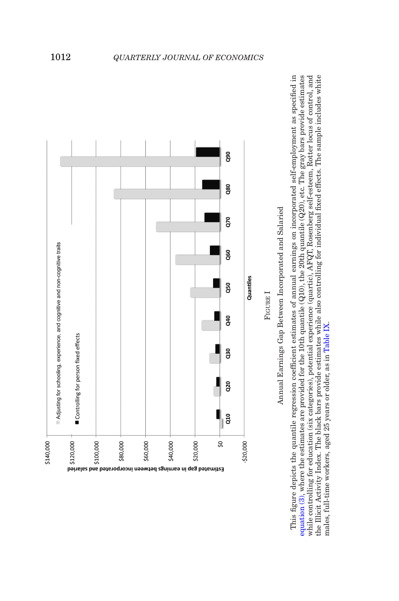<span id="page-49-0"></span>

This figure depicts the quantile regression coefficient estimates of annual earnings on incorporated self-employment as specified in equation (3), where the estimates are provided for the 10th quantile (Q10), the 20th quantile (Q20), etc. The gray bars provide estimates while controlling for education (six categories), potential experience (quartic), AFQT, Rosenberg self-esteem, Rotter locus of control, and the Illicit Activity Index. The black bars provide estimates while also controlling for individual fixed effects. The sample includes white This figure depicts the quantile regression coefficient estimates of annual earnings on incorporated self-employment as specified in [equation](#page-31-0) (3), where the estimates are provided for the 10th quantile (Q10), the 20th quantile (Q20), etc. The gray bars provide estimates while controlling for education (six categories), potential experience (quartic), AFQT, Rosenberg self-esteem, Rotter locus of control, and the Illicit Activity Index. The black bars provide estimates while also controlling for individual fixed effects. The sample includes white males, full-time workers, aged 25 years or older, as in Table IX. males, full-time workers, aged 25 years or older, as in [Table](#page-33-0) IX.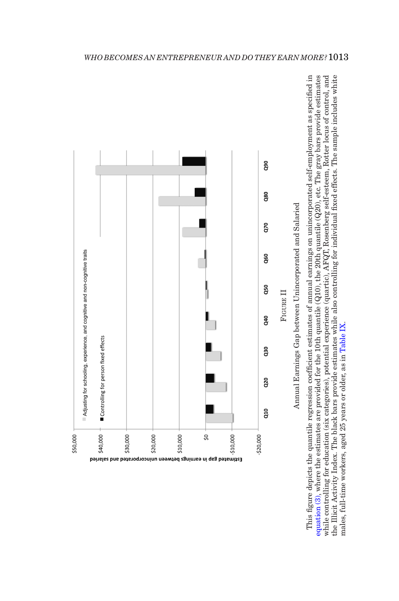<span id="page-50-0"></span>

This figure depicts the quantile regression coefficient estimates of annual earnings on unincorporated self-employment as specified in equation (3), where the estimates are provided for the 10th quantile (Q10), the 20th quantile (Q20), etc. The gray bars provide estimates while controlling for education (six categories), potential experience (quartic), AFQT, Rosenberg self-esteem, Rotter locus of control, and the Illicit Activity Index. The black bars provide estimates while also controlling for individual fixed effects. The sample includes white This figure depicts the quantile regression coefficient estimates of annual earnings on unincorporated self-employment as specified in [equation](#page-31-0) (3), where the estimates are provided for the 10th quantile (Q10), the 20th quantile (Q20), etc. The gray bars provide estimates while controlling for education (six categories), potential experience (quartic), AFQT, Rosenberg self-esteem, Rotter locus of control, and the Illicit Activity Index. The black bars provide estimates while also controlling for individual fixed effects. The sample includes white males, full-time workers, aged 25 years or older, as in Table IX. males, full-time workers, aged 25 years or older, as in [Table](#page-33-0) IX.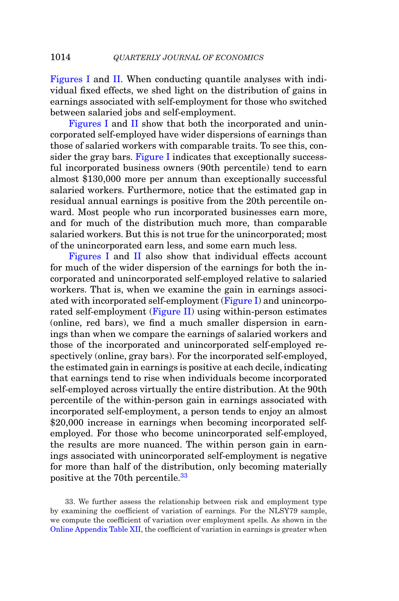[Figures I](#page-49-0) and [II.](#page-50-0) When conducting quantile analyses with individual fixed effects, we shed light on the distribution of gains in earnings associated with self-employment for those who switched between salaried jobs and self-employment.

[Figures I](#page-49-0) and [II](#page-50-0) show that both the incorporated and unincorporated self-employed have wider dispersions of earnings than those of salaried workers with comparable traits. To see this, con-sider the gray bars. [Figure I](#page-49-0) indicates that exceptionally successful incorporated business owners (90th percentile) tend to earn almost \$130,000 more per annum than exceptionally successful salaried workers. Furthermore, notice that the estimated gap in residual annual earnings is positive from the 20th percentile onward. Most people who run incorporated businesses earn more, and for much of the distribution much more, than comparable salaried workers. But this is not true for the unincorporated; most of the unincorporated earn less, and some earn much less.

[Figures I](#page-49-0) and [II](#page-50-0) also show that individual effects account for much of the wider dispersion of the earnings for both the incorporated and unincorporated self-employed relative to salaried workers. That is, when we examine the gain in earnings associated with incorporated self-employment [\(Figure I\)](#page-49-0) and unincorporated self-employment [\(Figure II\)](#page-50-0) using within-person estimates (online, red bars), we find a much smaller dispersion in earnings than when we compare the earnings of salaried workers and those of the incorporated and unincorporated self-employed respectively (online, gray bars). For the incorporated self-employed, the estimated gain in earnings is positive at each decile, indicating that earnings tend to rise when individuals become incorporated self-employed across virtually the entire distribution. At the 90th percentile of the within-person gain in earnings associated with incorporated self-employment, a person tends to enjoy an almost \$20,000 increase in earnings when becoming incorporated selfemployed. For those who become unincorporated self-employed, the results are more nuanced. The within person gain in earnings associated with unincorporated self-employment is negative for more than half of the distribution, only becoming materially positive at the 70th percentile.[33](#page-51-0)

<span id="page-51-0"></span>33. We further assess the relationship between risk and employment type by examining the coefficient of variation of earnings. For the NLSY79 sample, we compute the coefficient of variation over employment spells. As shown in the [Online Appendix Table XII,](https://academic.oup.com/qje) the coefficient of variation in earnings is greater when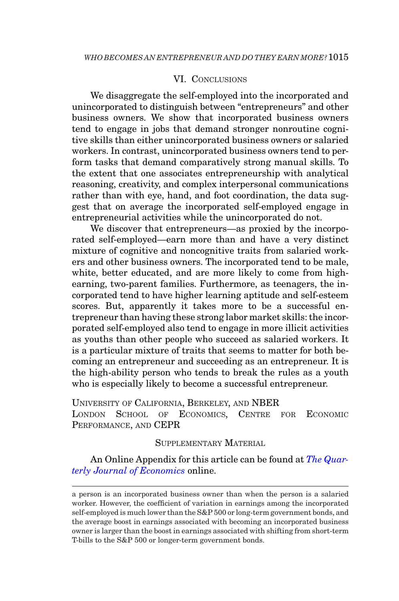## <span id="page-52-0"></span>VI. CONCLUSIONS

We disaggregate the self-employed into the incorporated and unincorporated to distinguish between "entrepreneurs" and other business owners. We show that incorporated business owners tend to engage in jobs that demand stronger nonroutine cognitive skills than either unincorporated business owners or salaried workers. In contrast, unincorporated business owners tend to perform tasks that demand comparatively strong manual skills. To the extent that one associates entrepreneurship with analytical reasoning, creativity, and complex interpersonal communications rather than with eye, hand, and foot coordination, the data suggest that on average the incorporated self-employed engage in entrepreneurial activities while the unincorporated do not.

We discover that entrepreneurs—as proxied by the incorporated self-employed—earn more than and have a very distinct mixture of cognitive and noncognitive traits from salaried workers and other business owners. The incorporated tend to be male, white, better educated, and are more likely to come from highearning, two-parent families. Furthermore, as teenagers, the incorporated tend to have higher learning aptitude and self-esteem scores. But, apparently it takes more to be a successful entrepreneur than having these strong labor market skills: the incorporated self-employed also tend to engage in more illicit activities as youths than other people who succeed as salaried workers. It is a particular mixture of traits that seems to matter for both becoming an entrepreneur and succeeding as an entrepreneur. It is the high-ability person who tends to break the rules as a youth who is especially likely to become a successful entrepreneur.

UNIVERSITY OF CALIFORNIA, BERKELEY, AND NBER LONDON SCHOOL OF ECONOMICS, CENTRE FOR ECONOMIC PERFORMANCE, AND CEPR

SUPPLEMENTARY MATERIAL

An Online Appendix for this article can be found at *[The Quar](https://academic.oup.com/qje)[terly Journal of Economics](https://academic.oup.com/qje)* online.

a person is an incorporated business owner than when the person is a salaried worker. However, the coefficient of variation in earnings among the incorporated self-employed is much lower than the S&P 500 or long-term government bonds, and the average boost in earnings associated with becoming an incorporated business owner is larger than the boost in earnings associated with shifting from short-term T-bills to the S&P 500 or longer-term government bonds.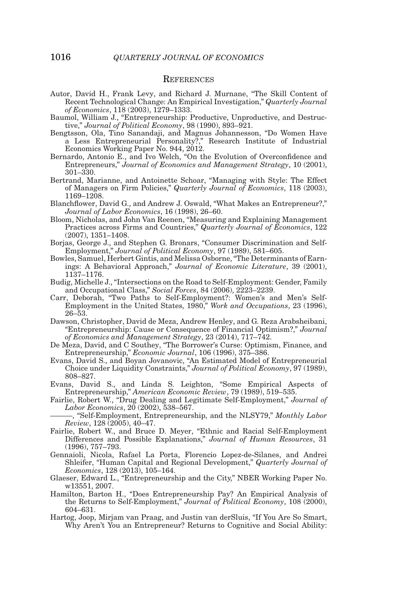#### **REFERENCES**

- <span id="page-53-18"></span>Autor, David H., Frank Levy, and Richard J. Murnane, "The Skill Content of Recent Technological Change: An Empirical Investigation," *Quarterly Journal of Economics*, 118 (2003), 1279–1333.
- <span id="page-53-0"></span>Baumol, William J., "Entrepreneurship: Productive, Unproductive, and Destructive," *Journal of Political Economy*, 98 (1990), 893–921.
- <span id="page-53-14"></span>Bengtsson, Ola, Tino Sanandaji, and Magnus Johannesson, "Do Women Have a Less Entrepreneurial Personality?," Research Institute of Industrial Economics Working Paper No. 944, 2012.
- <span id="page-53-8"></span>Bernardo, Antonio E., and Ivo Welch, "On the Evolution of Overconfidence and Entrepreneurs," *Journal of Economics and Management Strategy*, 10 (2001), 301–330.
- <span id="page-53-10"></span>Bertrand, Marianne, and Antoinette Schoar, "Managing with Style: The Effect of Managers on Firm Policies," *Quarterly Journal of Economics*, 118 (2003), 1169–1208.
- Blanchflower, David G., and Andrew J. Oswald, "What Makes an Entrepreneur?," *Journal of Labor Economics*, 16 (1998), 26–60.
- <span id="page-53-11"></span>Bloom, Nicholas, and John Van Reenen, "Measuring and Explaining Management Practices across Firms and Countries," *Quarterly Journal of Economics*, 122 (2007), 1351–1408.
- <span id="page-53-2"></span>Borjas, George J., and Stephen G. Bronars, "Consumer Discrimination and Self-Employment," *Journal of Political Economy*, 97 (1989), 581–605.
- <span id="page-53-6"></span>Bowles, Samuel, Herbert Gintis, and Melissa Osborne, "The Determinants of Earnings: A Behavioral Approach," *Journal of Economic Literature*, 39 (2001), 1137–1176.
- <span id="page-53-13"></span>Budig, Michelle J., "Intersections on the Road to Self-Employment: Gender, Family and Occupational Class," *Social Forces*, 84 (2006), 2223–2239.
- <span id="page-53-12"></span>Carr, Deborah, "Two Paths to Self-Employment?: Women's and Men's Self-Employment in the United States, 1980," *Work and Occupations*, 23 (1996), 26–53.
- <span id="page-53-9"></span>Dawson, Christopher, David de Meza, Andrew Henley, and G. Reza Arabsheibani, "Entrepreneurship: Cause or Consequence of Financial Optimism?," *Journal of Economics and Management Strategy*, 23 (2014), 717–742.
- <span id="page-53-7"></span>De Meza, David, and C Southey, "The Borrower's Curse: Optimism, Finance, and Entrepreneurship," *Economic Journal*, 106 (1996), 375–386.
- <span id="page-53-19"></span>Evans, David S., and Boyan Jovanovic, "An Estimated Model of Entrepreneurial Choice under Liquidity Constraints," *Journal of Political Economy*, 97 (1989), 808–827.
- <span id="page-53-3"></span>Evans, David S., and Linda S. Leighton, "Some Empirical Aspects of Entrepreneurship," *American Economic Review*, 79 (1989), 519–535.
- <span id="page-53-17"></span>Fairlie, Robert W., "Drug Dealing and Legitimate Self-Employment," *Journal of Labor Economics*, 20 (2002), 538–567.

<span id="page-53-15"></span>———, "Self-Employment, Entrepreneurship, and the NLSY79," *Monthly Labor Review*, 128 (2005), 40–47.

- <span id="page-53-16"></span>Fairlie, Robert W., and Bruce D. Meyer, "Ethnic and Racial Self-Employment Differences and Possible Explanations," *Journal of Human Resources*, 31 (1996), 757–793.
- <span id="page-53-1"></span>Gennaioli, Nicola, Rafael La Porta, Florencio Lopez-de-Silanes, and Andrei Shleifer, "Human Capital and Regional Development," *Quarterly Journal of Economics*, 128 (2013), 105–164.
- <span id="page-53-5"></span>Glaeser, Edward L., "Entrepreneurship and the City," NBER Working Paper No. w13551, 2007.
- <span id="page-53-4"></span>Hamilton, Barton H., "Does Entrepreneurship Pay? An Empirical Analysis of the Returns to Self-Employment," *Journal of Political Economy*, 108 (2000), 604–631.
- <span id="page-53-20"></span>Hartog, Joop, Mirjam van Praag, and Justin van derSluis, "If You Are So Smart, Why Aren't You an Entrepreneur? Returns to Cognitive and Social Ability: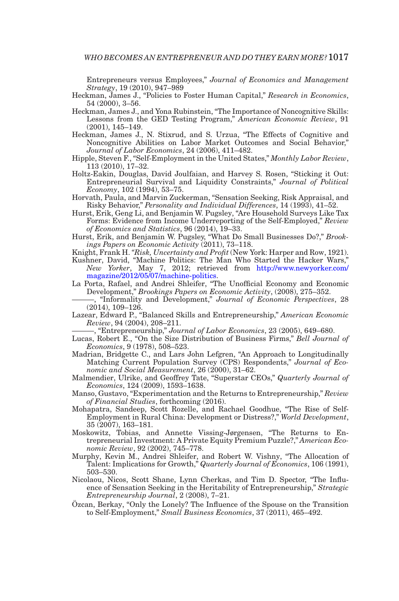Entrepreneurs versus Employees," *Journal of Economics and Management Strategy*, 19 (2010), 947–989

- <span id="page-54-6"></span>Heckman, James J., "Policies to Foster Human Capital," *Research in Economics*, 54 (2000), 3–56.
- <span id="page-54-7"></span>Heckman, James J., and Yona Rubinstein, "The Importance of Noncognitive Skills: Lessons from the GED Testing Program," *American Economic Review*, 91 (2001), 145–149.
- <span id="page-54-8"></span>Heckman, James J., N. Stixrud, and S. Urzua, "The Effects of Cognitive and Noncognitive Abilities on Labor Market Outcomes and Social Behavior," *Journal of Labor Economics*, 24 (2006), 411–482.
- <span id="page-54-9"></span>Hipple, Steven F., "Self-Employment in the United States," *Monthly Labor Review*, 113 (2010), 17–32.
- <span id="page-54-19"></span>Holtz-Eakin, Douglas, David Joulfaian, and Harvey S. Rosen, "Sticking it Out: Entrepreneurial Survival and Liquidity Constraints," *Journal of Political Economy*, 102 (1994), 53–75.
- <span id="page-54-16"></span>Horvath, Paula, and Marvin Zuckerman, "Sensation Seeking, Risk Appraisal, and Risky Behavior," *Personality and Individual Differences*, 14 (1993), 41–52.
- <span id="page-54-14"></span>Hurst, Erik, Geng Li, and Benjamin W. Pugsley, "Are Household Surveys Like Tax Forms: Evidence from Income Underreporting of the Self-Employed," *Review of Economics and Statistics*, 96 (2014), 19–33.
- <span id="page-54-5"></span>Hurst, Erik, and Benjamin W. Pugsley, "What Do Small Businesses Do?," *Brookings Papers on Economic Activity* (2011), 73–118.
- <span id="page-54-18"></span>Knight, Frank H. *"Risk, Uncertainty and Profit* (New York: Harper and Row, 1921).
- <span id="page-54-15"></span>Kushner, David, "Machine Politics: The Man Who Started the Hacker Wars," *New Yorker*, May 7, 2012; retrieved from [http://www.newyorker.com/](http://www.newyorker.com/magazine/2012/05/07/machine-politics) [magazine/2012/05/07/machine-politics.](http://www.newyorker.com/magazine/2012/05/07/machine-politics)
- <span id="page-54-3"></span>La Porta, Rafael, and Andrei Shleifer, "The Unofficial Economy and Economic Development," *Brookings Papers on Economic Activity*, (2008), 275–352.
	- ———, "Informality and Development," *Journal of Economic Perspectives*, 28  $(2014)$ , 109-12 $6$ .
- <span id="page-54-21"></span><span id="page-54-4"></span>Lazear, Edward P., "Balanced Skills and Entrepreneurship," *American Economic Review*, 94 (2004), 208–211.

———, "Entrepreneurship," *Journal of Labor Economics*, 23 (2005), 649–680.

- <span id="page-54-22"></span><span id="page-54-0"></span>Lucas, Robert E., "On the Size Distribution of Business Firms," *Bell Journal of Economics*, 9 (1978), 508–523.
- <span id="page-54-10"></span>Madrian, Bridgette C., and Lars John Lefgren, "An Approach to Longitudinally Matching Current Population Survey (CPS) Respondents," *Journal of Economic and Social Measurement*, 26 (2000), 31–62.
- <span id="page-54-11"></span>Malmendier, Ulrike, and Geoffrey Tate, "Superstar CEOs," *Quarterly Journal of Economics*, 124 (2009), 1593–1638.
- <span id="page-54-20"></span>Manso, Gustavo, "Experimentation and the Returns to Entrepreneurship," *Review of Financial Studies*, forthcoming (2016).
- <span id="page-54-12"></span>Mohapatra, Sandeep, Scott Rozelle, and Rachael Goodhue, "The Rise of Self-Employment in Rural China: Development or Distress?," *World Development*, 35 (2007), 163–181.
- <span id="page-54-2"></span>Moskowitz, Tobias, and Annette Vissing-Jørgensen, "The Returns to Entrepreneurial Investment: A Private Equity Premium Puzzle?," *American Economic Review*, 92 (2002), 745–778.
- <span id="page-54-1"></span>Murphy, Kevin M., Andrei Shleifer, and Robert W. Vishny, "The Allocation of Talent: Implications for Growth," *Quarterly Journal of Economics*, 106 (1991), 503–530.
- <span id="page-54-17"></span>Nicolaou, Nicos, Scott Shane, Lynn Cherkas, and Tim D. Spector, "The Influence of Sensation Seeking in the Heritability of Entrepreneurship," *Strategic Entrepreneurship Journal*, 2 (2008), 7–21.
- <span id="page-54-13"></span>Ozcan, Berkay, "Only the Lonely? The Influence of the Spouse on the Transition ¨ to Self-Employment," *Small Business Economics*, 37 (2011), 465–492.